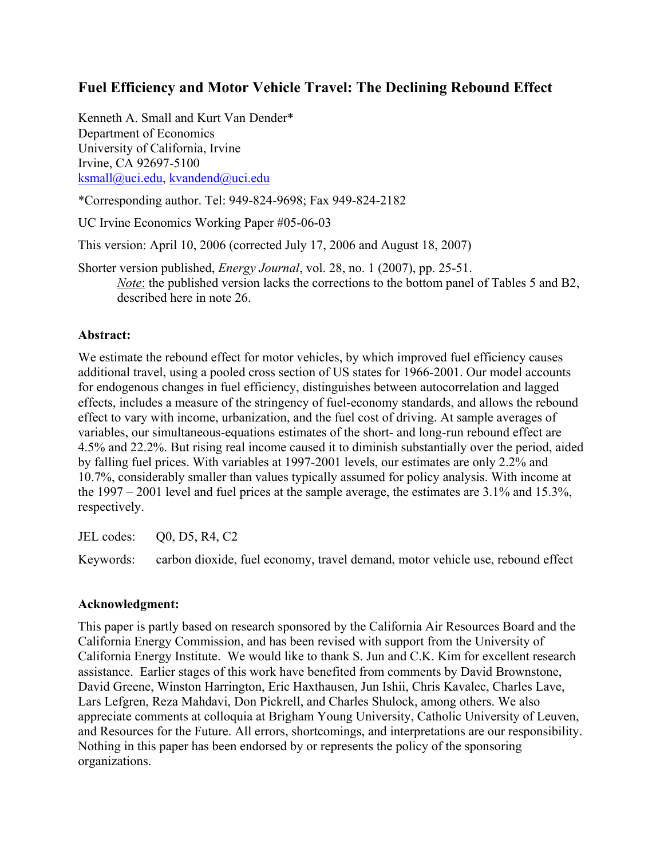# **Fuel Efficiency and Motor Vehicle Travel: The Declining Rebound Effect**

Kenneth A. Small and Kurt Van Dender\* Department of Economics University of California, Irvine Irvine, CA 92697-5100 ksmall@uci.edu, kvandend@uci.edu

\*Corresponding author. Tel: 949-824-9698; Fax 949-824-2182

UC Irvine Economics Working Paper #05-06-03

This version: April 10, 2006 (corrected July 17, 2006 and August 18, 2007)

Shorter version published, *Energy Journal*, vol. 28, no. 1 (2007), pp. 25-51. *Note*: the published version lacks the corrections to the bottom panel of Tables 5 and B2, described here in note 26.

# **Abstract:**

We estimate the rebound effect for motor vehicles, by which improved fuel efficiency causes additional travel, using a pooled cross section of US states for 1966-2001. Our model accounts for endogenous changes in fuel efficiency, distinguishes between autocorrelation and lagged effects, includes a measure of the stringency of fuel-economy standards, and allows the rebound effect to vary with income, urbanization, and the fuel cost of driving. At sample averages of variables, our simultaneous-equations estimates of the short- and long-run rebound effect are 4.5% and 22.2%. But rising real income caused it to diminish substantially over the period, aided by falling fuel prices. With variables at 1997-2001 levels, our estimates are only 2.2% and 10.7%, considerably smaller than values typically assumed for policy analysis. With income at the 1997 – 2001 level and fuel prices at the sample average, the estimates are 3.1% and 15.3%, respectively.

JEL codes: Q0, D5, R4, C2

Keywords: carbon dioxide, fuel economy, travel demand, motor vehicle use, rebound effect

## **Acknowledgment:**

This paper is partly based on research sponsored by the California Air Resources Board and the California Energy Commission, and has been revised with support from the University of California Energy Institute. We would like to thank S. Jun and C.K. Kim for excellent research assistance. Earlier stages of this work have benefited from comments by David Brownstone, David Greene, Winston Harrington, Eric Haxthausen, Jun Ishii, Chris Kavalec, Charles Lave, Lars Lefgren, Reza Mahdavi, Don Pickrell, and Charles Shulock, among others. We also appreciate comments at colloquia at Brigham Young University, Catholic University of Leuven, and Resources for the Future. All errors, shortcomings, and interpretations are our responsibility. Nothing in this paper has been endorsed by or represents the policy of the sponsoring organizations.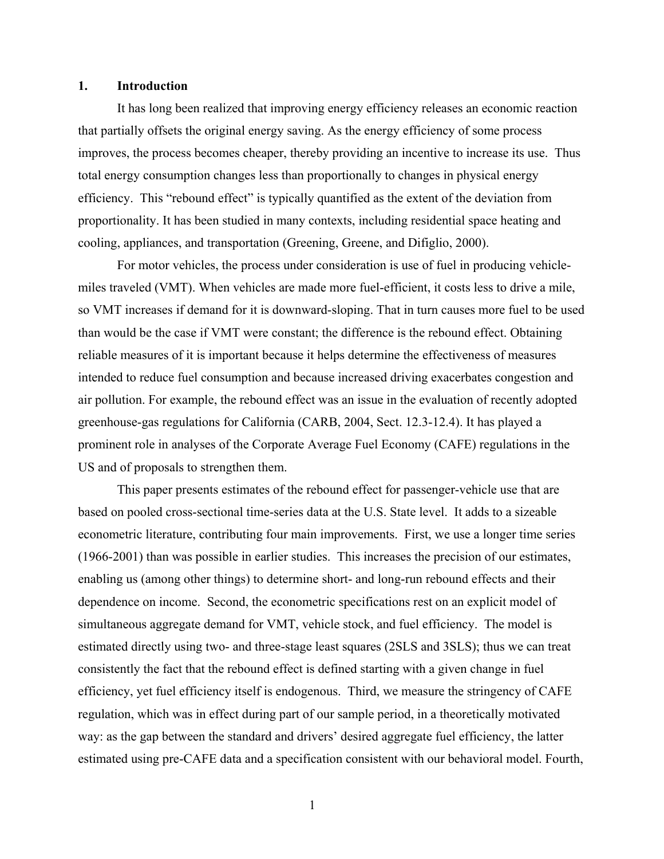#### **1. Introduction**

 It has long been realized that improving energy efficiency releases an economic reaction that partially offsets the original energy saving. As the energy efficiency of some process improves, the process becomes cheaper, thereby providing an incentive to increase its use. Thus total energy consumption changes less than proportionally to changes in physical energy efficiency. This "rebound effect" is typically quantified as the extent of the deviation from proportionality. It has been studied in many contexts, including residential space heating and cooling, appliances, and transportation (Greening, Greene, and Difiglio, 2000).

For motor vehicles, the process under consideration is use of fuel in producing vehiclemiles traveled (VMT). When vehicles are made more fuel-efficient, it costs less to drive a mile, so VMT increases if demand for it is downward-sloping. That in turn causes more fuel to be used than would be the case if VMT were constant; the difference is the rebound effect. Obtaining reliable measures of it is important because it helps determine the effectiveness of measures intended to reduce fuel consumption and because increased driving exacerbates congestion and air pollution. For example, the rebound effect was an issue in the evaluation of recently adopted greenhouse-gas regulations for California (CARB, 2004, Sect. 12.3-12.4). It has played a prominent role in analyses of the Corporate Average Fuel Economy (CAFE) regulations in the US and of proposals to strengthen them.

This paper presents estimates of the rebound effect for passenger-vehicle use that are based on pooled cross-sectional time-series data at the U.S. State level. It adds to a sizeable econometric literature, contributing four main improvements. First, we use a longer time series (1966-2001) than was possible in earlier studies. This increases the precision of our estimates, enabling us (among other things) to determine short- and long-run rebound effects and their dependence on income. Second, the econometric specifications rest on an explicit model of simultaneous aggregate demand for VMT, vehicle stock, and fuel efficiency. The model is estimated directly using two- and three-stage least squares (2SLS and 3SLS); thus we can treat consistently the fact that the rebound effect is defined starting with a given change in fuel efficiency, yet fuel efficiency itself is endogenous. Third, we measure the stringency of CAFE regulation, which was in effect during part of our sample period, in a theoretically motivated way: as the gap between the standard and drivers' desired aggregate fuel efficiency, the latter estimated using pre-CAFE data and a specification consistent with our behavioral model. Fourth,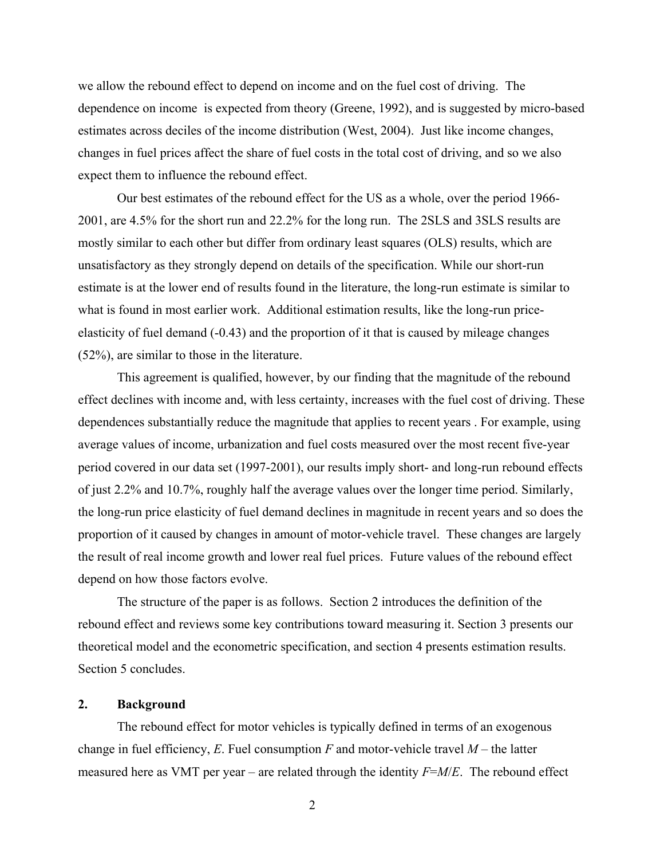we allow the rebound effect to depend on income and on the fuel cost of driving. The dependence on income is expected from theory (Greene, 1992), and is suggested by micro-based estimates across deciles of the income distribution (West, 2004). Just like income changes, changes in fuel prices affect the share of fuel costs in the total cost of driving, and so we also expect them to influence the rebound effect.

Our best estimates of the rebound effect for the US as a whole, over the period 1966- 2001, are 4.5% for the short run and 22.2% for the long run. The 2SLS and 3SLS results are mostly similar to each other but differ from ordinary least squares (OLS) results, which are unsatisfactory as they strongly depend on details of the specification. While our short-run estimate is at the lower end of results found in the literature, the long-run estimate is similar to what is found in most earlier work. Additional estimation results, like the long-run priceelasticity of fuel demand (-0.43) and the proportion of it that is caused by mileage changes (52%), are similar to those in the literature.

This agreement is qualified, however, by our finding that the magnitude of the rebound effect declines with income and, with less certainty, increases with the fuel cost of driving. These dependences substantially reduce the magnitude that applies to recent years . For example, using average values of income, urbanization and fuel costs measured over the most recent five-year period covered in our data set (1997-2001), our results imply short- and long-run rebound effects of just 2.2% and 10.7%, roughly half the average values over the longer time period. Similarly, the long-run price elasticity of fuel demand declines in magnitude in recent years and so does the proportion of it caused by changes in amount of motor-vehicle travel. These changes are largely the result of real income growth and lower real fuel prices. Future values of the rebound effect depend on how those factors evolve.

The structure of the paper is as follows. Section 2 introduces the definition of the rebound effect and reviews some key contributions toward measuring it. Section 3 presents our theoretical model and the econometric specification, and section 4 presents estimation results. Section 5 concludes.

## **2. Background**

The rebound effect for motor vehicles is typically defined in terms of an exogenous change in fuel efficiency,  $E$ . Fuel consumption  $F$  and motor-vehicle travel  $M$  – the latter measured here as VMT per year – are related through the identity *F*=*M*/*E*. The rebound effect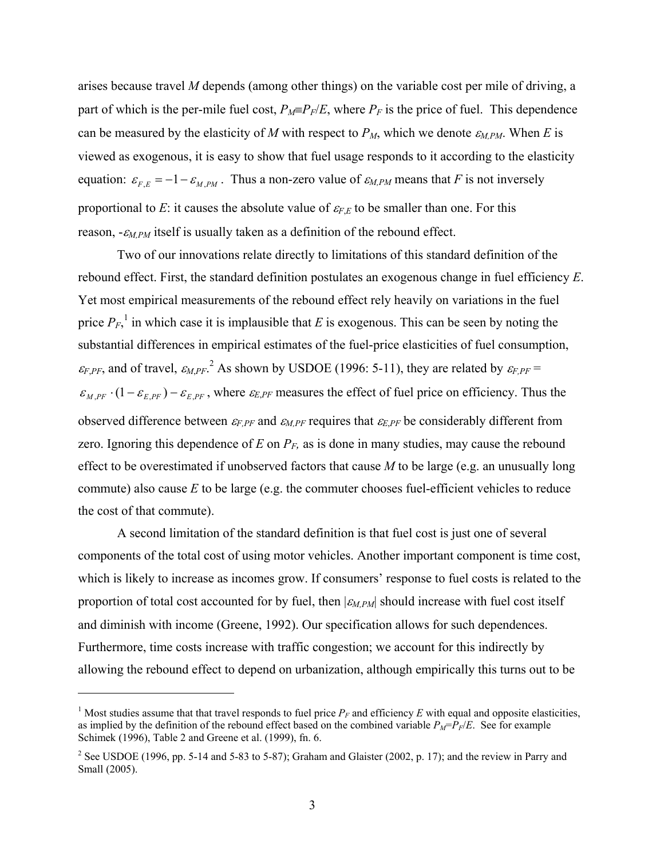arises because travel *M* depends (among other things) on the variable cost per mile of driving, a part of which is the per-mile fuel cost,  $P_M \equiv P_F/E$ , where  $P_F$  is the price of fuel. This dependence can be measured by the elasticity of *M* with respect to  $P_M$ , which we denote  $\varepsilon_{MPM}$ . When *E* is viewed as exogenous, it is easy to show that fuel usage responds to it according to the elasticity equation:  $\varepsilon_{F,E} = -1 - \varepsilon_{M,PM}$ . Thus a non-zero value of  $\varepsilon_{M,PM}$  means that *F* is not inversely proportional to *E*: it causes the absolute value of  $\varepsilon_{F,E}$  to be smaller than one. For this reason, -<sup>ε</sup>*M,PM* itself is usually taken as a definition of the rebound effect.

Two of our innovations relate directly to limitations of this standard definition of the rebound effect. First, the standard definition postulates an exogenous change in fuel efficiency *E*. Yet most empirical measurements of the rebound effect rely heavily on variations in the fuel price  $P_F$ ,<sup>1</sup> in which case it is implausible that *E* is exogenous. This can be seen by noting the substantial differences in empirical estimates of the fuel-price elasticities of fuel consumption,  $\varepsilon_{F,PF}$ , and of travel,  $\varepsilon_{M,PF}$ .<sup>2</sup> As shown by USDOE (1996: 5-11), they are related by  $\varepsilon_{F,PF}$  =  $\epsilon_{MPF}$   $\cdot (1 - \epsilon_{EPF}) - \epsilon_{EPF}$ , where  $\epsilon_{E,PF}$  measures the effect of fuel price on efficiency. Thus the observed difference between <sup>ε</sup>*F,PF* and <sup>ε</sup>*M,PF* requires that <sup>ε</sup>*E*,*PF* be considerably different from zero. Ignoring this dependence of  $E$  on  $P_F$ , as is done in many studies, may cause the rebound effect to be overestimated if unobserved factors that cause *M* to be large (e.g. an unusually long commute) also cause *E* to be large (e.g. the commuter chooses fuel-efficient vehicles to reduce the cost of that commute).

A second limitation of the standard definition is that fuel cost is just one of several components of the total cost of using motor vehicles. Another important component is time cost, which is likely to increase as incomes grow. If consumers' response to fuel costs is related to the proportion of total cost accounted for by fuel, then |<sup>ε</sup>*M,PM*| should increase with fuel cost itself and diminish with income (Greene, 1992). Our specification allows for such dependences. Furthermore, time costs increase with traffic congestion; we account for this indirectly by allowing the rebound effect to depend on urbanization, although empirically this turns out to be

 $\overline{a}$ 

<sup>&</sup>lt;sup>1</sup> Most studies assume that that travel responds to fuel price  $P_F$  and efficiency  $E$  with equal and opposite elasticities, as implied by the definition of the rebound effect based on the combined variable  $P_M = \overline{P_F/E}$ . See for example Schimek (1996), Table 2 and Greene et al. (1999), fn. 6.

<sup>&</sup>lt;sup>2</sup> See USDOE (1996, pp. 5-14 and 5-83 to 5-87); Graham and Glaister (2002, p. 17); and the review in Parry and Small (2005).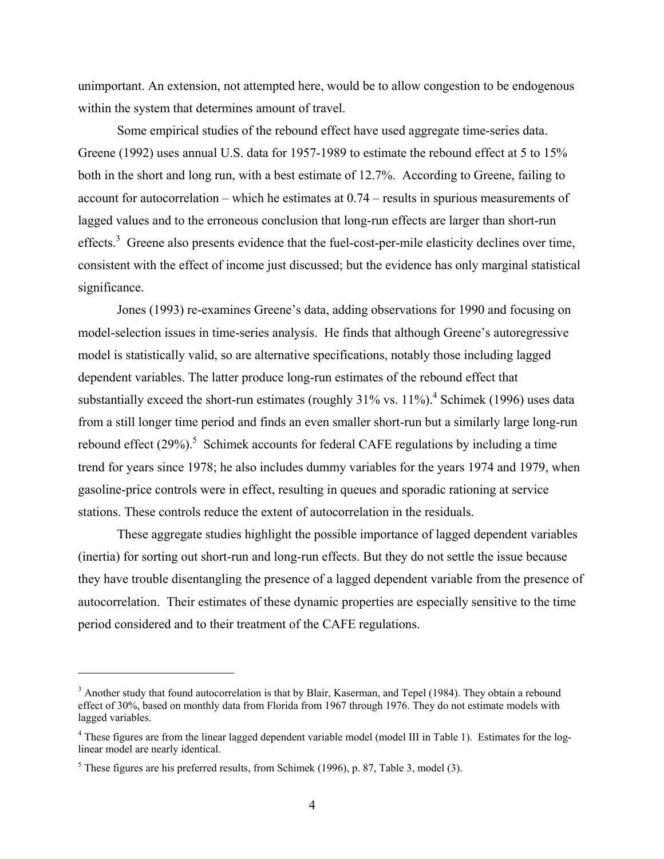unimportant. An extension, not attempted here, would be to allow congestion to be endogenous within the system that determines amount of travel.

 Some empirical studies of the rebound effect have used aggregate time-series data. Greene (1992) uses annual U.S. data for 1957-1989 to estimate the rebound effect at 5 to 15% both in the short and long run, with a best estimate of 12.7%. According to Greene, failing to account for autocorrelation – which he estimates at 0.74 – results in spurious measurements of lagged values and to the erroneous conclusion that long-run effects are larger than short-run effects.<sup>3</sup> Greene also presents evidence that the fuel-cost-per-mile elasticity declines over time, consistent with the effect of income just discussed; but the evidence has only marginal statistical significance.

 Jones (1993) re-examines Greene's data, adding observations for 1990 and focusing on model-selection issues in time-series analysis. He finds that although Greene's autoregressive model is statistically valid, so are alternative specifications, notably those including lagged dependent variables. The latter produce long-run estimates of the rebound effect that substantially exceed the short-run estimates (roughly  $31\%$  vs.  $11\%$ ).<sup>4</sup> Schimek (1996) uses data from a still longer time period and finds an even smaller short-run but a similarly large long-run rebound effect  $(29\%)$ <sup>5</sup> Schimek accounts for federal CAFE regulations by including a time trend for years since 1978; he also includes dummy variables for the years 1974 and 1979, when gasoline-price controls were in effect, resulting in queues and sporadic rationing at service stations. These controls reduce the extent of autocorrelation in the residuals.

These aggregate studies highlight the possible importance of lagged dependent variables (inertia) for sorting out short-run and long-run effects. But they do not settle the issue because they have trouble disentangling the presence of a lagged dependent variable from the presence of autocorrelation. Their estimates of these dynamic properties are especially sensitive to the time period considered and to their treatment of the CAFE regulations.

 $3$  Another study that found autocorrelation is that by Blair, Kaserman, and Tepel (1984). They obtain a rebound effect of 30%, based on monthly data from Florida from 1967 through 1976. They do not estimate models with lagged variables.

<sup>&</sup>lt;sup>4</sup> These figures are from the linear lagged dependent variable model (model III in Table 1). Estimates for the loglinear model are nearly identical.

 $<sup>5</sup>$  These figures are his preferred results, from Schimek (1996), p. 87, Table 3, model (3).</sup>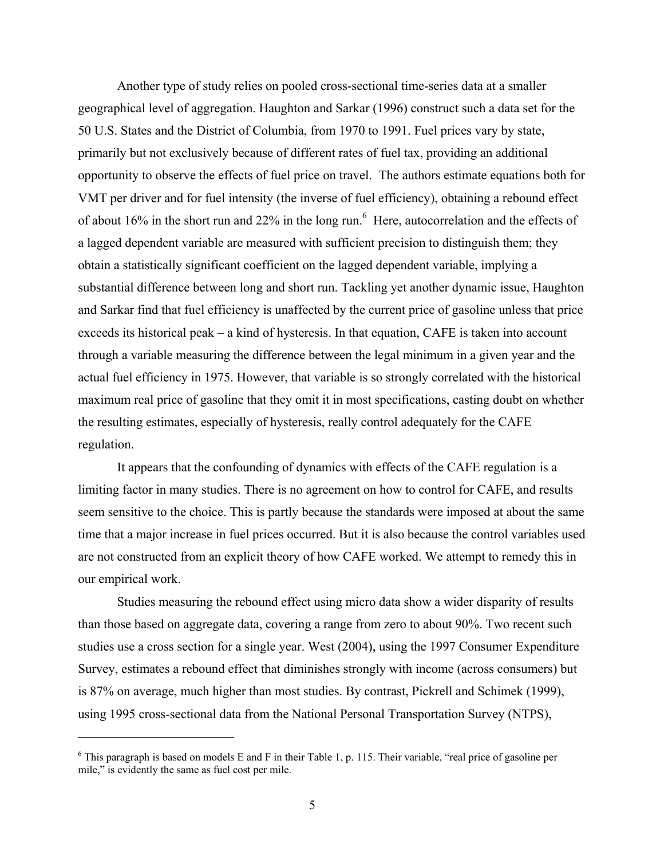Another type of study relies on pooled cross-sectional time-series data at a smaller geographical level of aggregation. Haughton and Sarkar (1996) construct such a data set for the 50 U.S. States and the District of Columbia, from 1970 to 1991. Fuel prices vary by state, primarily but not exclusively because of different rates of fuel tax, providing an additional opportunity to observe the effects of fuel price on travel. The authors estimate equations both for VMT per driver and for fuel intensity (the inverse of fuel efficiency), obtaining a rebound effect of about 16% in the short run and 22% in the long run. <sup>6</sup> Here, autocorrelation and the effects of a lagged dependent variable are measured with sufficient precision to distinguish them; they obtain a statistically significant coefficient on the lagged dependent variable, implying a substantial difference between long and short run. Tackling yet another dynamic issue, Haughton and Sarkar find that fuel efficiency is unaffected by the current price of gasoline unless that price exceeds its historical peak – a kind of hysteresis. In that equation, CAFE is taken into account through a variable measuring the difference between the legal minimum in a given year and the actual fuel efficiency in 1975. However, that variable is so strongly correlated with the historical maximum real price of gasoline that they omit it in most specifications, casting doubt on whether the resulting estimates, especially of hysteresis, really control adequately for the CAFE regulation.

It appears that the confounding of dynamics with effects of the CAFE regulation is a limiting factor in many studies. There is no agreement on how to control for CAFE, and results seem sensitive to the choice. This is partly because the standards were imposed at about the same time that a major increase in fuel prices occurred. But it is also because the control variables used are not constructed from an explicit theory of how CAFE worked. We attempt to remedy this in our empirical work.

Studies measuring the rebound effect using micro data show a wider disparity of results than those based on aggregate data, covering a range from zero to about 90%. Two recent such studies use a cross section for a single year. West (2004), using the 1997 Consumer Expenditure Survey, estimates a rebound effect that diminishes strongly with income (across consumers) but is 87% on average, much higher than most studies. By contrast, Pickrell and Schimek (1999), using 1995 cross-sectional data from the National Personal Transportation Survey (NTPS),

 $\overline{a}$ 

<sup>&</sup>lt;sup>6</sup> This paragraph is based on models E and F in their Table 1, p. 115. Their variable, "real price of gasoline per mile," is evidently the same as fuel cost per mile.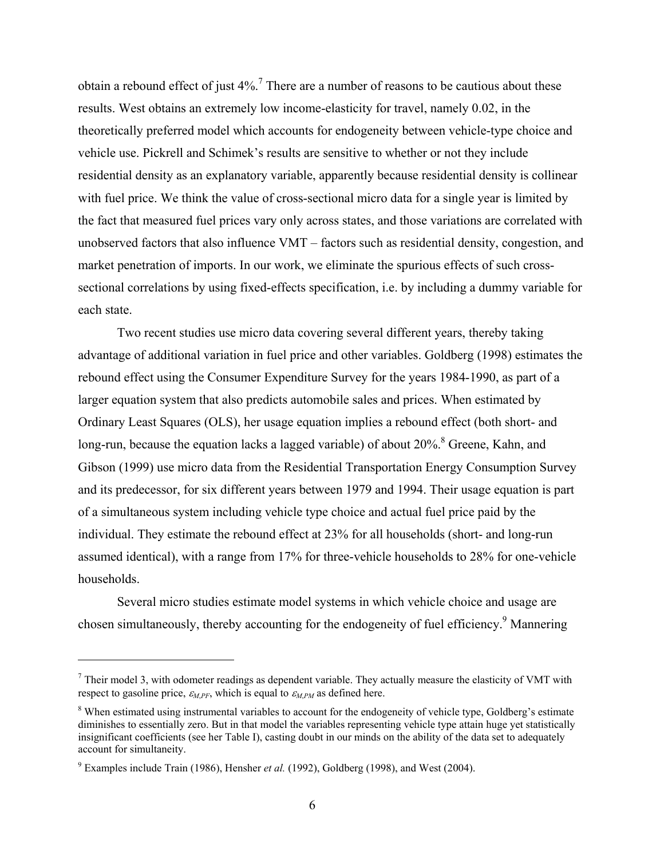obtain a rebound effect of just  $4\%$ .<sup>7</sup> There are a number of reasons to be cautious about these results. West obtains an extremely low income-elasticity for travel, namely 0.02, in the theoretically preferred model which accounts for endogeneity between vehicle-type choice and vehicle use. Pickrell and Schimek's results are sensitive to whether or not they include residential density as an explanatory variable, apparently because residential density is collinear with fuel price. We think the value of cross-sectional micro data for a single year is limited by the fact that measured fuel prices vary only across states, and those variations are correlated with unobserved factors that also influence VMT – factors such as residential density, congestion, and market penetration of imports. In our work, we eliminate the spurious effects of such crosssectional correlations by using fixed-effects specification, i.e. by including a dummy variable for each state.

Two recent studies use micro data covering several different years, thereby taking advantage of additional variation in fuel price and other variables. Goldberg (1998) estimates the rebound effect using the Consumer Expenditure Survey for the years 1984-1990, as part of a larger equation system that also predicts automobile sales and prices. When estimated by Ordinary Least Squares (OLS), her usage equation implies a rebound effect (both short- and long-run, because the equation lacks a lagged variable) of about  $20\%$ . <sup>8</sup> Greene, Kahn, and Gibson (1999) use micro data from the Residential Transportation Energy Consumption Survey and its predecessor, for six different years between 1979 and 1994. Their usage equation is part of a simultaneous system including vehicle type choice and actual fuel price paid by the individual. They estimate the rebound effect at 23% for all households (short- and long-run assumed identical), with a range from 17% for three-vehicle households to 28% for one-vehicle households.

Several micro studies estimate model systems in which vehicle choice and usage are chosen simultaneously, thereby accounting for the endogeneity of fuel efficiency.<sup>9</sup> Mannering

 $<sup>7</sup>$  Their model 3, with odometer readings as dependent variable. They actually measure the elasticity of VMT with</sup> respect to gasoline price,  $\varepsilon_{MPF}$ , which is equal to  $\varepsilon_{MPM}$  as defined here.

<sup>&</sup>lt;sup>8</sup> When estimated using instrumental variables to account for the endogeneity of vehicle type, Goldberg's estimate diminishes to essentially zero. But in that model the variables representing vehicle type attain huge yet statistically insignificant coefficients (see her Table I), casting doubt in our minds on the ability of the data set to adequately account for simultaneity.

<sup>&</sup>lt;sup>9</sup> Examples include Train (1986), Hensher *et al.* (1992), Goldberg (1998), and West (2004).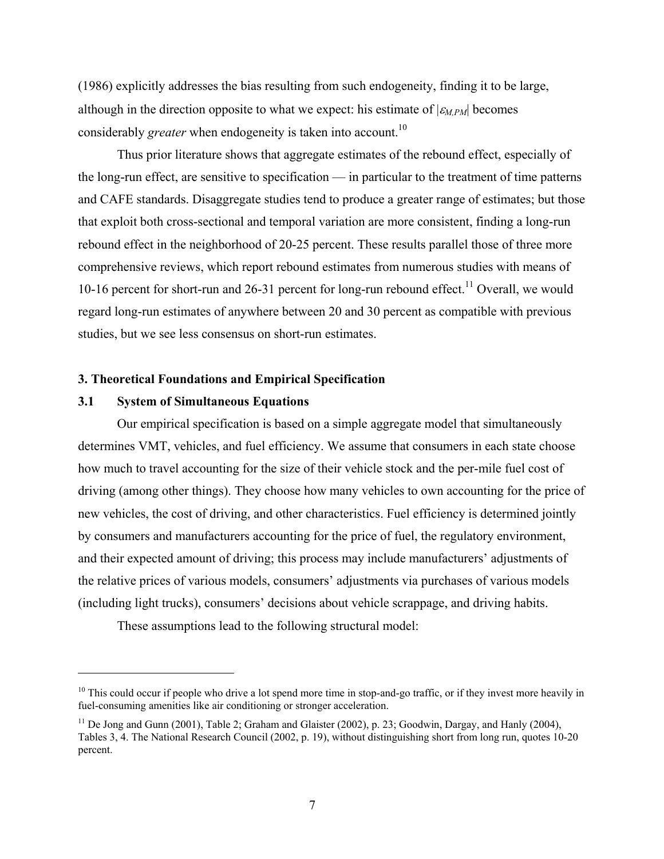(1986) explicitly addresses the bias resulting from such endogeneity, finding it to be large, although in the direction opposite to what we expect: his estimate of  $|\varepsilon_{M,PM}|$  becomes considerably *greater* when endogeneity is taken into account.<sup>10</sup>

Thus prior literature shows that aggregate estimates of the rebound effect, especially of the long-run effect, are sensitive to specification — in particular to the treatment of time patterns and CAFE standards. Disaggregate studies tend to produce a greater range of estimates; but those that exploit both cross-sectional and temporal variation are more consistent, finding a long-run rebound effect in the neighborhood of 20-25 percent. These results parallel those of three more comprehensive reviews, which report rebound estimates from numerous studies with means of 10-16 percent for short-run and 26-31 percent for long-run rebound effect.<sup>11</sup> Overall, we would regard long-run estimates of anywhere between 20 and 30 percent as compatible with previous studies, but we see less consensus on short-run estimates.

### **3. Theoretical Foundations and Empirical Specification**

#### **3.1 System of Simultaneous Equations**

1

 Our empirical specification is based on a simple aggregate model that simultaneously determines VMT, vehicles, and fuel efficiency. We assume that consumers in each state choose how much to travel accounting for the size of their vehicle stock and the per-mile fuel cost of driving (among other things). They choose how many vehicles to own accounting for the price of new vehicles, the cost of driving, and other characteristics. Fuel efficiency is determined jointly by consumers and manufacturers accounting for the price of fuel, the regulatory environment, and their expected amount of driving; this process may include manufacturers' adjustments of the relative prices of various models, consumers' adjustments via purchases of various models (including light trucks), consumers' decisions about vehicle scrappage, and driving habits.

These assumptions lead to the following structural model:

 $10$  This could occur if people who drive a lot spend more time in stop-and-go traffic, or if they invest more heavily in fuel-consuming amenities like air conditioning or stronger acceleration.

 $11$  De Jong and Gunn (2001), Table 2; Graham and Glaister (2002), p. 23; Goodwin, Dargay, and Hanly (2004), Tables 3, 4. The National Research Council (2002, p. 19), without distinguishing short from long run, quotes 10-20 percent.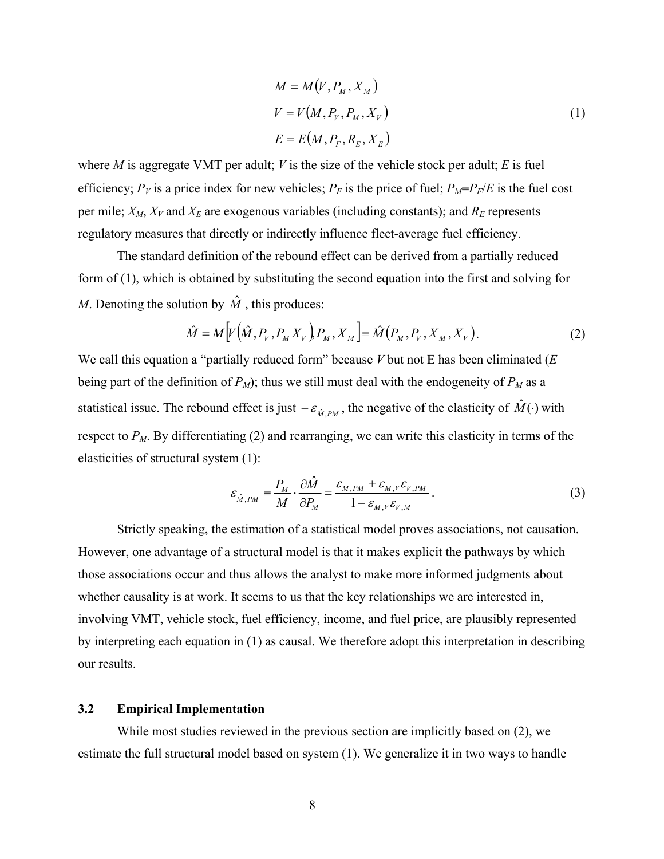$$
M = M(V, PM, XM)
$$
  
\n
$$
V = V(M, PV, PM, XV)
$$
  
\n
$$
E = E(M, PF, RE, XE)
$$
\n(1)

where *M* is aggregate VMT per adult; *V* is the size of the vehicle stock per adult; *E* is fuel efficiency;  $P_V$  is a price index for new vehicles;  $P_F$  is the price of fuel;  $P_M \equiv P_F/E$  is the fuel cost per mile;  $X_M$ ,  $X_V$  and  $X_E$  are exogenous variables (including constants); and  $R_E$  represents regulatory measures that directly or indirectly influence fleet-average fuel efficiency.

The standard definition of the rebound effect can be derived from a partially reduced form of (1), which is obtained by substituting the second equation into the first and solving for *M*. Denoting the solution by  $\hat{M}$ , this produces:

$$
\hat{M} = M \Big[ V \Big( \hat{M}, P_V, P_M X_V \Big) P_M, X_M \Big] \equiv \hat{M} \Big( P_M, P_V, X_M, X_V \Big). \tag{2}
$$

We call this equation a "partially reduced form" because *V* but not E has been eliminated (*E* being part of the definition of  $P_M$ ); thus we still must deal with the endogeneity of  $P_M$  as a statistical issue. The rebound effect is just  $-\varepsilon_{\hat{M}PM}$ , the negative of the elasticity of  $\hat{M}(\cdot)$  with respect to  $P_M$ . By differentiating (2) and rearranging, we can write this elasticity in terms of the elasticities of structural system (1):

$$
\varepsilon_{\hat{M},PM} \equiv \frac{P_M}{M} \cdot \frac{\partial \hat{M}}{\partial P_M} = \frac{\varepsilon_{M,PM} + \varepsilon_{M,V} \varepsilon_{V,PM}}{1 - \varepsilon_{M,V} \varepsilon_{V,M}}.
$$
(3)

Strictly speaking, the estimation of a statistical model proves associations, not causation. However, one advantage of a structural model is that it makes explicit the pathways by which those associations occur and thus allows the analyst to make more informed judgments about whether causality is at work. It seems to us that the key relationships we are interested in, involving VMT, vehicle stock, fuel efficiency, income, and fuel price, are plausibly represented by interpreting each equation in (1) as causal. We therefore adopt this interpretation in describing our results.

#### **3.2 Empirical Implementation**

While most studies reviewed in the previous section are implicitly based on (2), we estimate the full structural model based on system (1). We generalize it in two ways to handle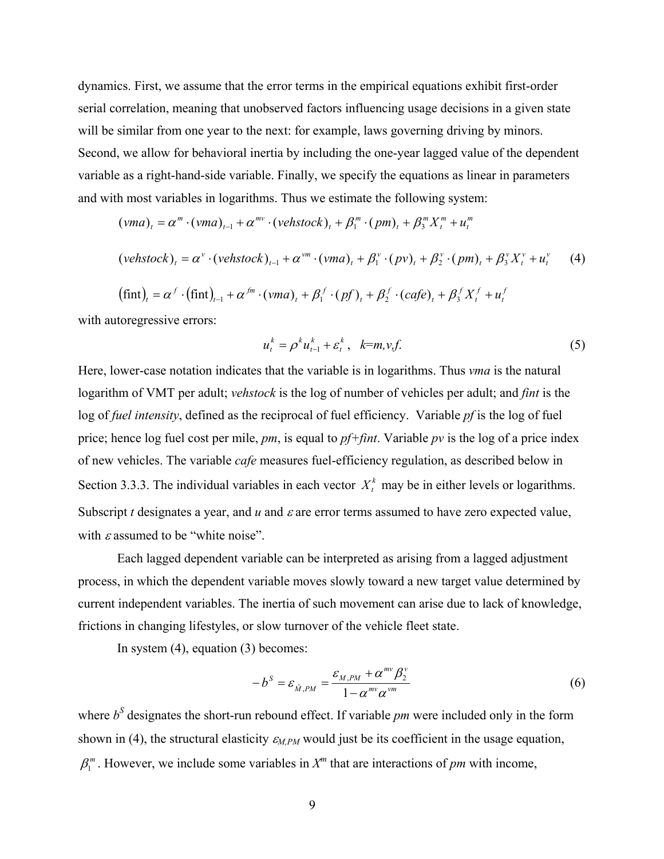dynamics. First, we assume that the error terms in the empirical equations exhibit first-order serial correlation, meaning that unobserved factors influencing usage decisions in a given state will be similar from one year to the next: for example, laws governing driving by minors. Second, we allow for behavioral inertia by including the one-year lagged value of the dependent variable as a right-hand-side variable. Finally, we specify the equations as linear in parameters and with most variables in logarithms. Thus we estimate the following system:

$$
(vma)_t = \alpha^m \cdot (vma)_{t-1} + \alpha^{mv} \cdot (vehslock)_t + \beta_1^m \cdot (pm)_t + \beta_3^m X_t^m + u_t^m
$$

$$
(vehstock)_t = \alpha^v \cdot (vehstock)_{t-1} + \alpha^{vm} \cdot (vma)_t + \beta_1^v \cdot (pv)_t + \beta_2^v \cdot (pm)_t + \beta_3^v X_t^v + u_t^v \tag{4}
$$

$$
(\text{fint})_t = \alpha^f \cdot (\text{fint})_{t-1} + \alpha^{fm} \cdot (vm\alpha)_t + \beta_1^f \cdot (pf)_t + \beta_2^f \cdot (cafe)_t + \beta_3^f X_t^f + u_t^f
$$

with autoregressive errors:

$$
u_t^k = \rho^k u_{t-1}^k + \varepsilon_t^k, \quad k = m, v, f. \tag{5}
$$

Here, lower-case notation indicates that the variable is in logarithms. Thus *vma* is the natural logarithm of VMT per adult; *vehstock* is the log of number of vehicles per adult; and *fint* is the log of *fuel intensity*, defined as the reciprocal of fuel efficiency. Variable *pf* is the log of fuel price; hence log fuel cost per mile, *pm*, is equal to *pf+fint*. Variable *pv* is the log of a price index of new vehicles. The variable *cafe* measures fuel-efficiency regulation, as described below in Section 3.3.3. The individual variables in each vector  $X_t^k$  may be in either levels or logarithms. Subscript *t* designates a year, and  $u$  and  $\varepsilon$  are error terms assumed to have zero expected value, with  $\varepsilon$  assumed to be "white noise".

 Each lagged dependent variable can be interpreted as arising from a lagged adjustment process, in which the dependent variable moves slowly toward a new target value determined by current independent variables. The inertia of such movement can arise due to lack of knowledge, frictions in changing lifestyles, or slow turnover of the vehicle fleet state.

In system (4), equation (3) becomes:

$$
-b^{S} = \varepsilon_{\hat{M},PM} = \frac{\varepsilon_{M,PM} + \alpha^{mv} \beta_2^{v}}{1 - \alpha^{mv} \alpha^{vm}}
$$
(6)

where  $b<sup>S</sup>$  designates the short-run rebound effect. If variable *pm* were included only in the form shown in (4), the structural elasticity  $\varepsilon_{M,PM}$  would just be its coefficient in the usage equation,  $\beta_1^m$ . However, we include some variables in  $X^m$  that are interactions of *pm* with income,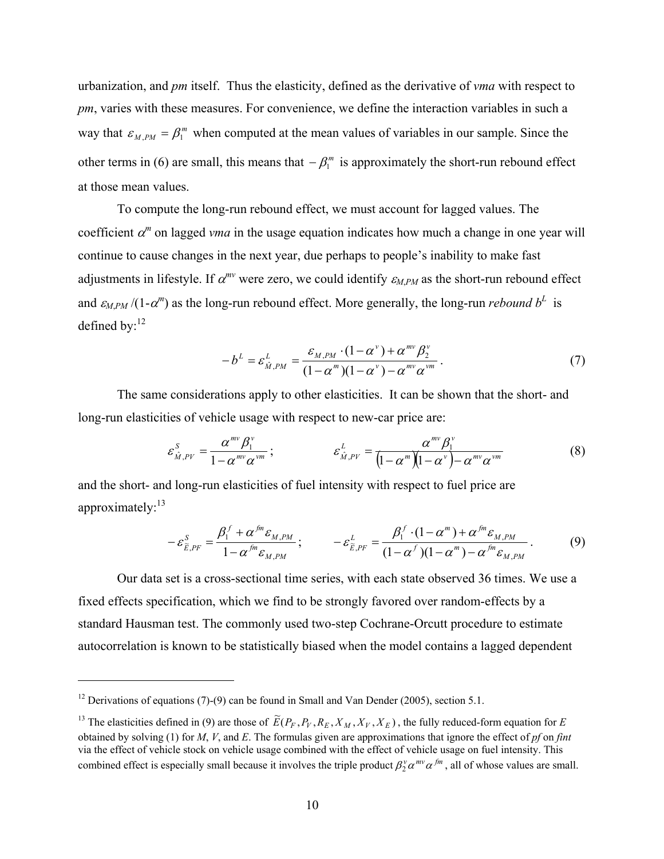urbanization, and *pm* itself. Thus the elasticity, defined as the derivative of *vma* with respect to *pm*, varies with these measures. For convenience, we define the interaction variables in such a way that  $\varepsilon_{M,PM} = \beta_1^m$  when computed at the mean values of variables in our sample. Since the other terms in (6) are small, this means that  $-\beta_1^m$  is approximately the short-run rebound effect at those mean values.

To compute the long-run rebound effect, we must account for lagged values. The coefficient  $\alpha^m$  on lagged *vma* in the usage equation indicates how much a change in one year will continue to cause changes in the next year, due perhaps to people's inability to make fast adjustments in lifestyle. If  $\alpha^{mv}$  were zero, we could identify  $\varepsilon_{MPM}$  as the short-run rebound effect and  $\varepsilon_{M,PM}$  /(1- $\alpha^m$ ) as the long-run rebound effect. More generally, the long-run *rebound*  $b^L$  is defined by:<sup>12</sup>

$$
-b^{L} = \varepsilon_{\hat{M},PM}^{L} = \frac{\varepsilon_{M,PM} \cdot (1 - \alpha^{\nu}) + \alpha^{mv} \beta_2^{\nu}}{(1 - \alpha^{\nu})(1 - \alpha^{\nu}) - \alpha^{mv} \alpha^{vm}}.
$$
\n
$$
(7)
$$

The same considerations apply to other elasticities. It can be shown that the short- and long-run elasticities of vehicle usage with respect to new-car price are:

$$
\varepsilon_{\hat{M},PV}^{S} = \frac{\alpha^{mv} \beta_1^{v}}{1 - \alpha^{mv} \alpha^{vm}}; \qquad \varepsilon_{\hat{M},PV}^{L} = \frac{\alpha^{mv} \beta_1^{v}}{(1 - \alpha^{m})(1 - \alpha^{v}) - \alpha^{mv} \alpha^{vm}}
$$
(8)

and the short- and long-run elasticities of fuel intensity with respect to fuel price are approximately: $^{13}$ 

$$
-\varepsilon_{\widetilde{E},PF}^S = \frac{\beta_1^f + \alpha^{fm} \varepsilon_{M,PM}}{1 - \alpha^{fm} \varepsilon_{M,PM}}; \qquad -\varepsilon_{\widetilde{E},PF}^L = \frac{\beta_1^f \cdot (1 - \alpha^m) + \alpha^{fm} \varepsilon_{M,PM}}{(1 - \alpha^f)(1 - \alpha^m) - \alpha^{fm} \varepsilon_{M,PM}}.
$$
(9)

 Our data set is a cross-sectional time series, with each state observed 36 times. We use a fixed effects specification, which we find to be strongly favored over random-effects by a standard Hausman test. The commonly used two-step Cochrane-Orcutt procedure to estimate autocorrelation is known to be statistically biased when the model contains a lagged dependent

 $\overline{a}$ 

<sup>&</sup>lt;sup>12</sup> Derivations of equations (7)-(9) can be found in Small and Van Dender (2005), section 5.1.

<sup>&</sup>lt;sup>13</sup> The elasticities defined in (9) are those of  $\widetilde{E}(P_F, P_V, R_E, X_M, X_V, X_E)$ , the fully reduced-form equation for *E* obtained by solving (1) for *M*, *V*, and *E*. The formulas given are approximations that ignore the effect of *pf* on *fint* via the effect of vehicle stock on vehicle usage combined with the effect of vehicle usage on fuel intensity. This combined effect is especially small because it involves the triple product  $\beta_2^{\nu} \alpha^{mv} \alpha^{fm}$ , all of whose values are small.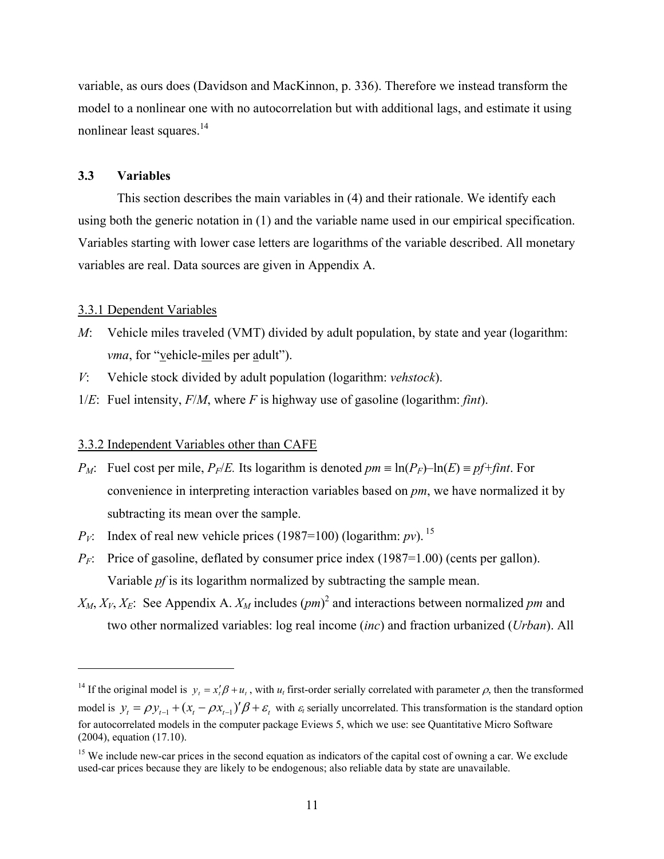variable, as ours does (Davidson and MacKinnon, p. 336). Therefore we instead transform the model to a nonlinear one with no autocorrelation but with additional lags, and estimate it using nonlinear least squares.<sup>14</sup>

#### **3.3 Variables**

This section describes the main variables in (4) and their rationale. We identify each using both the generic notation in (1) and the variable name used in our empirical specification. Variables starting with lower case letters are logarithms of the variable described. All monetary variables are real. Data sources are given in Appendix A.

#### 3.3.1 Dependent Variables

 $\overline{a}$ 

- *M*: Vehicle miles traveled (VMT) divided by adult population, by state and year (logarithm: *vma*, for "vehicle-miles per adult").
- *V*: Vehicle stock divided by adult population (logarithm: *vehstock*).
- 1/*E*: Fuel intensity, *F*/*M*, where *F* is highway use of gasoline (logarithm: *fint*).

#### 3.3.2 Independent Variables other than CAFE

- *P<sub>M</sub>*: Fuel cost per mile, *P<sub>F</sub>*/*E*. Its logarithm is denoted  $pm \equiv \ln(P_F) \ln(E) \equiv pf + \hat{f}$ *int*. For convenience in interpreting interaction variables based on *pm*, we have normalized it by subtracting its mean over the sample.
- $P_V$ : Index of real new vehicle prices (1987=100) (logarithm: *pv*). <sup>15</sup>
- $P_F$ : Price of gasoline, deflated by consumer price index (1987=1.00) (cents per gallon). Variable *pf* is its logarithm normalized by subtracting the sample mean.
- $X_M, X_V, X_E$ : See Appendix A.  $X_M$  includes  $(pm)^2$  and interactions between normalized pm and two other normalized variables: log real income (*inc*) and fraction urbanized (*Urban*). All

<sup>&</sup>lt;sup>14</sup> If the original model is  $y_t = x'_t \beta + u_t$ , with  $u_t$  first-order serially correlated with parameter  $\rho$ , then the transformed model is  $y_t = \rho y_{t-1} + (x_t - \rho x_{t-1})' \beta + \varepsilon_t$  with  $\varepsilon_t$  serially uncorrelated. This transformation is the standard option for autocorrelated models in the computer package Eviews 5, which we use: see Quantitative Micro Software (2004), equation (17.10).

<sup>&</sup>lt;sup>15</sup> We include new-car prices in the second equation as indicators of the capital cost of owning a car. We exclude used-car prices because they are likely to be endogenous; also reliable data by state are unavailable.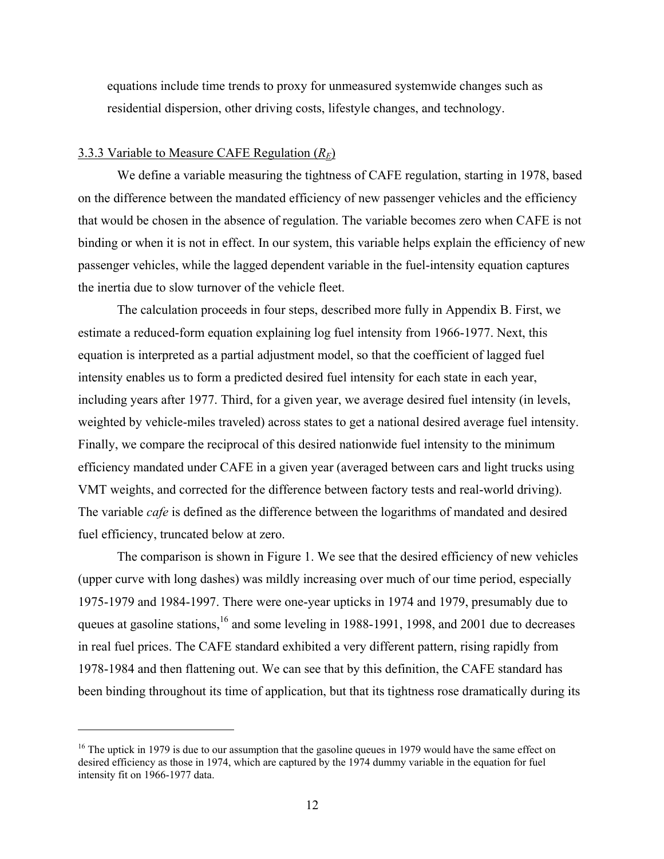equations include time trends to proxy for unmeasured systemwide changes such as residential dispersion, other driving costs, lifestyle changes, and technology.

### 3.3.3 Variable to Measure CAFE Regulation (*RE*)

 $\overline{a}$ 

We define a variable measuring the tightness of CAFE regulation, starting in 1978, based on the difference between the mandated efficiency of new passenger vehicles and the efficiency that would be chosen in the absence of regulation. The variable becomes zero when CAFE is not binding or when it is not in effect. In our system, this variable helps explain the efficiency of new passenger vehicles, while the lagged dependent variable in the fuel-intensity equation captures the inertia due to slow turnover of the vehicle fleet.

The calculation proceeds in four steps, described more fully in Appendix B. First, we estimate a reduced-form equation explaining log fuel intensity from 1966-1977. Next, this equation is interpreted as a partial adjustment model, so that the coefficient of lagged fuel intensity enables us to form a predicted desired fuel intensity for each state in each year, including years after 1977. Third, for a given year, we average desired fuel intensity (in levels, weighted by vehicle-miles traveled) across states to get a national desired average fuel intensity. Finally, we compare the reciprocal of this desired nationwide fuel intensity to the minimum efficiency mandated under CAFE in a given year (averaged between cars and light trucks using VMT weights, and corrected for the difference between factory tests and real-world driving). The variable *cafe* is defined as the difference between the logarithms of mandated and desired fuel efficiency, truncated below at zero.

The comparison is shown in Figure 1. We see that the desired efficiency of new vehicles (upper curve with long dashes) was mildly increasing over much of our time period, especially 1975-1979 and 1984-1997. There were one-year upticks in 1974 and 1979, presumably due to queues at gasoline stations,<sup>16</sup> and some leveling in 1988-1991, 1998, and 2001 due to decreases in real fuel prices. The CAFE standard exhibited a very different pattern, rising rapidly from 1978-1984 and then flattening out. We can see that by this definition, the CAFE standard has been binding throughout its time of application, but that its tightness rose dramatically during its

<sup>&</sup>lt;sup>16</sup> The uptick in 1979 is due to our assumption that the gasoline queues in 1979 would have the same effect on desired efficiency as those in 1974, which are captured by the 1974 dummy variable in the equation for fuel intensity fit on 1966-1977 data.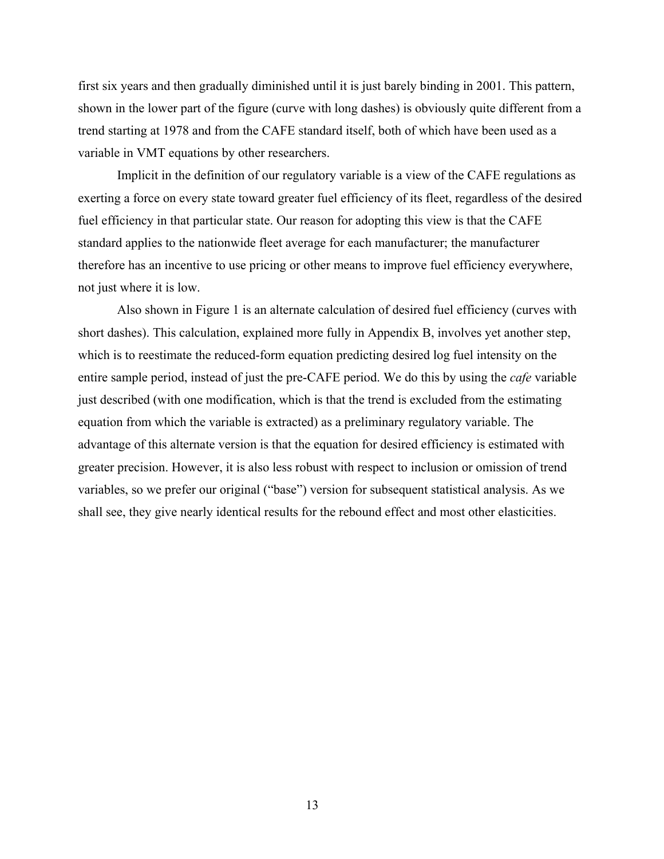first six years and then gradually diminished until it is just barely binding in 2001. This pattern, shown in the lower part of the figure (curve with long dashes) is obviously quite different from a trend starting at 1978 and from the CAFE standard itself, both of which have been used as a variable in VMT equations by other researchers.

Implicit in the definition of our regulatory variable is a view of the CAFE regulations as exerting a force on every state toward greater fuel efficiency of its fleet, regardless of the desired fuel efficiency in that particular state. Our reason for adopting this view is that the CAFE standard applies to the nationwide fleet average for each manufacturer; the manufacturer therefore has an incentive to use pricing or other means to improve fuel efficiency everywhere, not just where it is low.

Also shown in Figure 1 is an alternate calculation of desired fuel efficiency (curves with short dashes). This calculation, explained more fully in Appendix B, involves yet another step, which is to reestimate the reduced-form equation predicting desired log fuel intensity on the entire sample period, instead of just the pre-CAFE period. We do this by using the *cafe* variable just described (with one modification, which is that the trend is excluded from the estimating equation from which the variable is extracted) as a preliminary regulatory variable. The advantage of this alternate version is that the equation for desired efficiency is estimated with greater precision. However, it is also less robust with respect to inclusion or omission of trend variables, so we prefer our original ("base") version for subsequent statistical analysis. As we shall see, they give nearly identical results for the rebound effect and most other elasticities.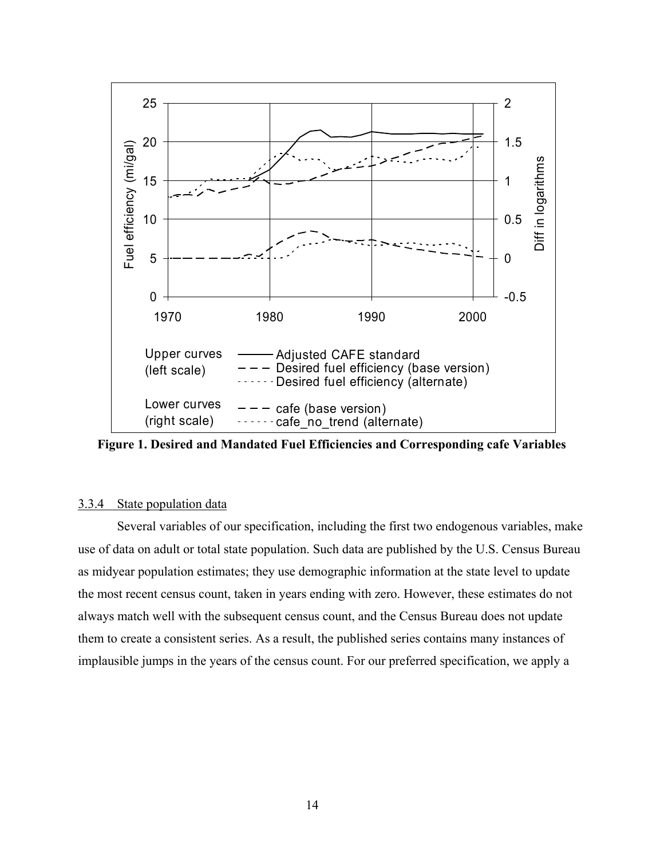

**Figure 1. Desired and Mandated Fuel Efficiencies and Corresponding cafe Variables** 

#### 3.3.4 State population data

 Several variables of our specification, including the first two endogenous variables, make use of data on adult or total state population. Such data are published by the U.S. Census Bureau as midyear population estimates; they use demographic information at the state level to update the most recent census count, taken in years ending with zero. However, these estimates do not always match well with the subsequent census count, and the Census Bureau does not update them to create a consistent series. As a result, the published series contains many instances of implausible jumps in the years of the census count. For our preferred specification, we apply a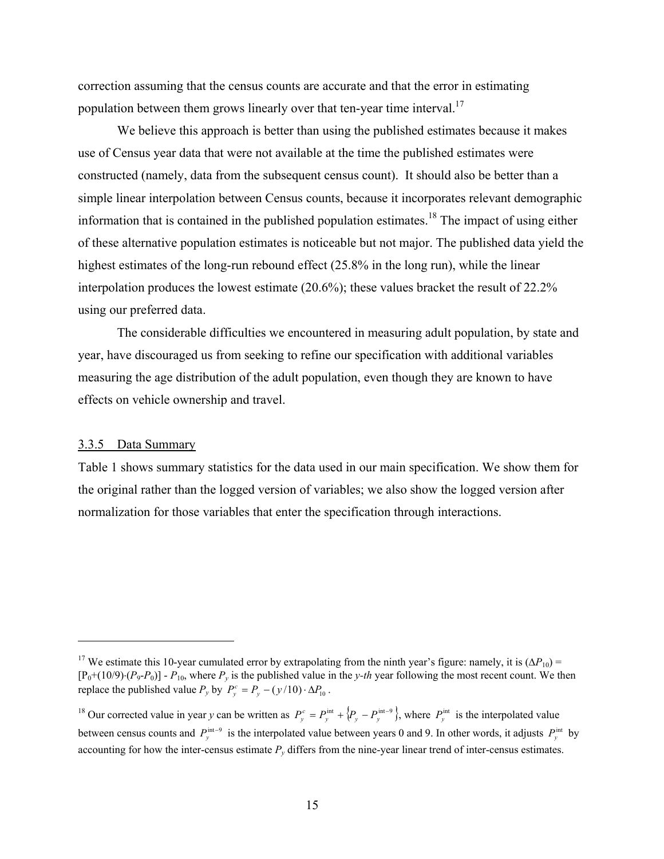correction assuming that the census counts are accurate and that the error in estimating population between them grows linearly over that ten-year time interval.<sup>17</sup>

 We believe this approach is better than using the published estimates because it makes use of Census year data that were not available at the time the published estimates were constructed (namely, data from the subsequent census count). It should also be better than a simple linear interpolation between Census counts, because it incorporates relevant demographic information that is contained in the published population estimates.<sup>18</sup> The impact of using either of these alternative population estimates is noticeable but not major. The published data yield the highest estimates of the long-run rebound effect (25.8% in the long run), while the linear interpolation produces the lowest estimate (20.6%); these values bracket the result of 22.2% using our preferred data.

 The considerable difficulties we encountered in measuring adult population, by state and year, have discouraged us from seeking to refine our specification with additional variables measuring the age distribution of the adult population, even though they are known to have effects on vehicle ownership and travel.

### 3.3.5 Data Summary

 $\overline{a}$ 

Table 1 shows summary statistics for the data used in our main specification. We show them for the original rather than the logged version of variables; we also show the logged version after normalization for those variables that enter the specification through interactions.

<sup>&</sup>lt;sup>17</sup> We estimate this 10-year cumulated error by extrapolating from the ninth year's figure: namely, it is  $(\Delta P_{10})$  =  $[P_0+(10/9)\cdot(P_9-P_0)]$  -  $P_{10}$ , where  $P_y$  is the published value in the *y-th* year following the most recent count. We then replace the published value  $P_y$  by  $P_y^c = P_y - (y/10) \cdot \Delta P_{10}$ .

<sup>&</sup>lt;sup>18</sup> Our corrected value in year *y* can be written as  $P_v^c = P_v^{\text{int}} + \{P_v - P_v^{\text{int}-9}\}\$ , where  $P_v^{\text{int}}$  is the interpolated value between census counts and  $P_v^{\text{int}-9}$  is the interpolated value between years 0 and 9. In other words, it adjusts  $P_v^{\text{int}}$  by accounting for how the inter-census estimate  $P<sub>v</sub>$  differs from the nine-year linear trend of inter-census estimates.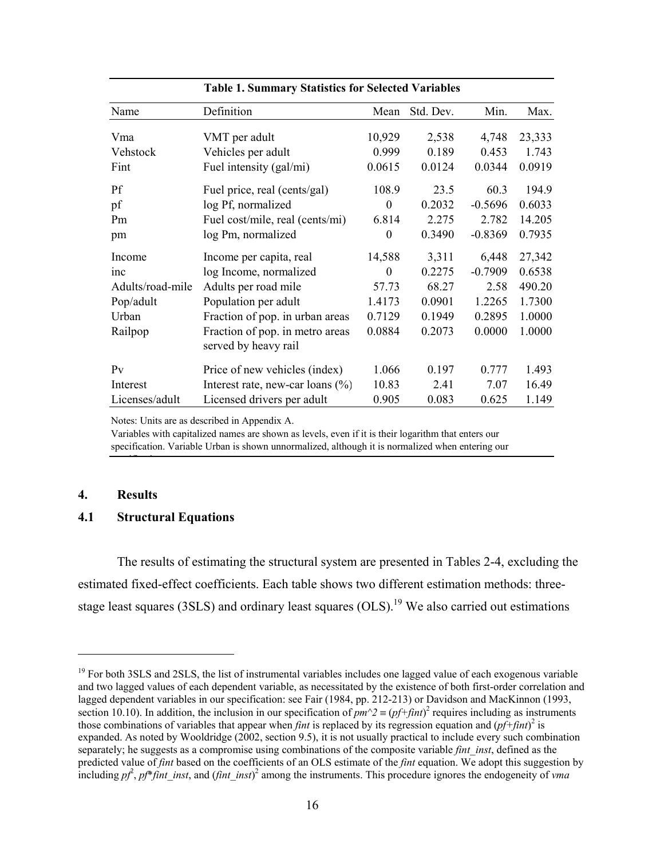|                  | таріс 1. эаппінат у этатізікі тог эсісскей у аттарісі |          |           |           |        |  |  |  |
|------------------|-------------------------------------------------------|----------|-----------|-----------|--------|--|--|--|
| Name             | Definition                                            | Mean     | Std. Dev. | Min.      | Max.   |  |  |  |
| Vma              | VMT per adult                                         | 10,929   | 2,538     | 4,748     | 23,333 |  |  |  |
| Vehstock         | Vehicles per adult                                    | 0.999    | 0.189     | 0.453     | 1.743  |  |  |  |
| Fint             | Fuel intensity (gal/mi)                               | 0.0615   | 0.0124    | 0.0344    | 0.0919 |  |  |  |
| Pf               | Fuel price, real (cents/gal)                          | 108.9    | 23.5      | 60.3      | 194.9  |  |  |  |
| pf               | log Pf, normalized                                    | $\Omega$ | 0.2032    | $-0.5696$ | 0.6033 |  |  |  |
| Pm               | Fuel cost/mile, real (cents/mi)                       | 6.814    | 2.275     | 2.782     | 14.205 |  |  |  |
| pm               | log Pm, normalized                                    | $\theta$ | 0.3490    | $-0.8369$ | 0.7935 |  |  |  |
| Income           | Income per capita, real                               | 14,588   | 3,311     | 6,448     | 27,342 |  |  |  |
| inc              | log Income, normalized                                | $\Omega$ | 0.2275    | $-0.7909$ | 0.6538 |  |  |  |
| Adults/road-mile | Adults per road mile                                  | 57.73    | 68.27     | 2.58      | 490.20 |  |  |  |
| Pop/adult        | Population per adult                                  | 1.4173   | 0.0901    | 1.2265    | 1.7300 |  |  |  |
| Urban            | Fraction of pop. in urban areas                       | 0.7129   | 0.1949    | 0.2895    | 1.0000 |  |  |  |
| Railpop          | Fraction of pop. in metro areas                       | 0.0884   | 0.2073    | 0.0000    | 1.0000 |  |  |  |
|                  | served by heavy rail                                  |          |           |           |        |  |  |  |
| P <sub>V</sub>   | Price of new vehicles (index)                         | 1.066    | 0.197     | 0.777     | 1.493  |  |  |  |
| Interest         | Interest rate, new-car loans $(\% )$                  | 10.83    | 2.41      | 7.07      | 16.49  |  |  |  |
| Licenses/adult   | Licensed drivers per adult                            | 0.905    | 0.083     | 0.625     | 1.149  |  |  |  |

#### **Table 1. Summary Statistics for Selected Variables**

Notes: Units are as described in Appendix A.

Variables with capitalized names are shown as levels, even if it is their logarithm that enters our specification. Variable Urban is shown unnormalized, although it is normalized when entering our

#### **4. Results**

 $\overline{a}$ 

#### **4.1 Structural Equations**

. <u>. . . . .</u> .

The results of estimating the structural system are presented in Tables 2-4, excluding the estimated fixed-effect coefficients. Each table shows two different estimation methods: threestage least squares (3SLS) and ordinary least squares (OLS).<sup>19</sup> We also carried out estimations

<sup>&</sup>lt;sup>19</sup> For both 3SLS and 2SLS, the list of instrumental variables includes one lagged value of each exogenous variable and two lagged values of each dependent variable, as necessitated by the existence of both first-order correlation and lagged dependent variables in our specification: see Fair (1984, pp. 212-213) or Davidson and MacKinnon (1993, section 10.10). In addition, the inclusion in our specification of  $pm^2 \equiv (pf + fint)^2$  requires including as instruments those combinations of variables that appear when *fint* is replaced by its regression equation and  $(pf+fint)^2$  is expanded. As noted by Wooldridge (2002, section 9.5), it is not usually practical to include every such combination separately; he suggests as a compromise using combinations of the composite variable *fint\_inst*, defined as the predicted value of *fint* based on the coefficients of an OLS estimate of the *fint* equation. We adopt this suggestion by including  $p^2$ ,  $p f^*$ *fint\_inst*, and (*fint\_inst*)<sup>2</sup> among the instruments. This procedure ignores the endogeneity of *vma*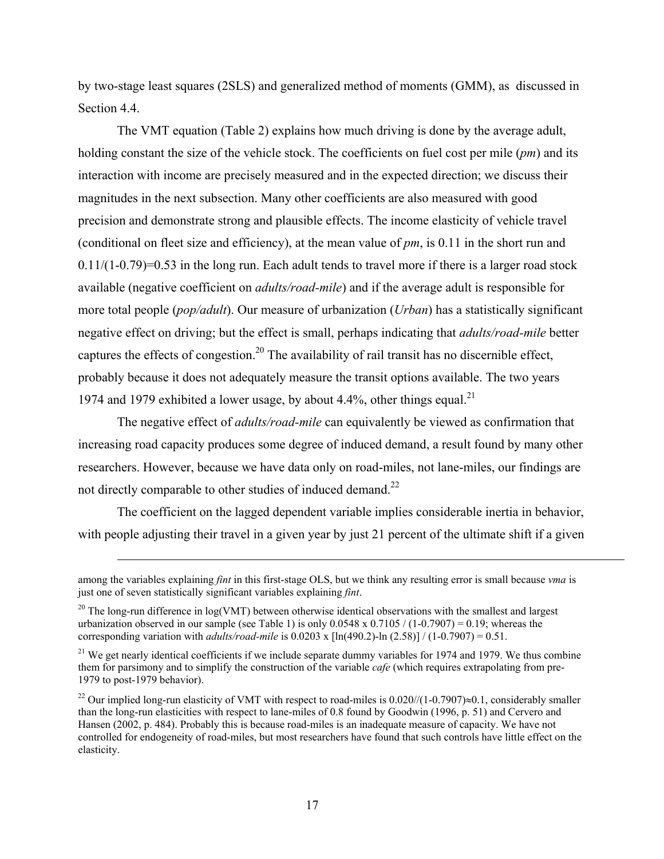by two-stage least squares (2SLS) and generalized method of moments (GMM), as discussed in Section 4.4.

The VMT equation (Table 2) explains how much driving is done by the average adult, holding constant the size of the vehicle stock. The coefficients on fuel cost per mile (*pm*) and its interaction with income are precisely measured and in the expected direction; we discuss their magnitudes in the next subsection. Many other coefficients are also measured with good precision and demonstrate strong and plausible effects. The income elasticity of vehicle travel (conditional on fleet size and efficiency), at the mean value of *pm*, is 0.11 in the short run and  $0.11/(1-0.79)=0.53$  in the long run. Each adult tends to travel more if there is a larger road stock available (negative coefficient on *adults/road-mile*) and if the average adult is responsible for more total people (*pop/adult*). Our measure of urbanization (*Urban*) has a statistically significant negative effect on driving; but the effect is small, perhaps indicating that *adults/road-mile* better captures the effects of congestion.<sup>20</sup> The availability of rail transit has no discernible effect, probably because it does not adequately measure the transit options available. The two years 1974 and 1979 exhibited a lower usage, by about 4.4%, other things equal.<sup>21</sup>

The negative effect of *adults/road-mile* can equivalently be viewed as confirmation that increasing road capacity produces some degree of induced demand, a result found by many other researchers. However, because we have data only on road-miles, not lane-miles, our findings are not directly comparable to other studies of induced demand.<sup>22</sup>

The coefficient on the lagged dependent variable implies considerable inertia in behavior, with people adjusting their travel in a given year by just 21 percent of the ultimate shift if a given

 $\overline{a}$ 

among the variables explaining *fint* in this first-stage OLS, but we think any resulting error is small because *vma* is just one of seven statistically significant variables explaining *fint*.

<sup>&</sup>lt;sup>20</sup> The long-run difference in log(VMT) between otherwise identical observations with the smallest and largest urbanization observed in our sample (see Table 1) is only  $0.0548 \times 0.7105 / (1 - 0.7907) = 0.19$ ; whereas the corresponding variation with *adults/road-mile* is  $0.0203 \times \left[\ln(490.2) - \ln(2.58)\right] / (1 - 0.7907) = 0.51$ .

<sup>&</sup>lt;sup>21</sup> We get nearly identical coefficients if we include separate dummy variables for 1974 and 1979. We thus combine them for parsimony and to simplify the construction of the variable *cafe* (which requires extrapolating from pre-1979 to post-1979 behavior).

<sup>&</sup>lt;sup>22</sup> Our implied long-run elasticity of VMT with respect to road-miles is  $0.020/(1-0.7907) \approx 0.1$ , considerably smaller than the long-run elasticities with respect to lane-miles of 0.8 found by Goodwin (1996, p. 51) and Cervero and Hansen (2002, p. 484). Probably this is because road-miles is an inadequate measure of capacity. We have not controlled for endogeneity of road-miles, but most researchers have found that such controls have little effect on the elasticity.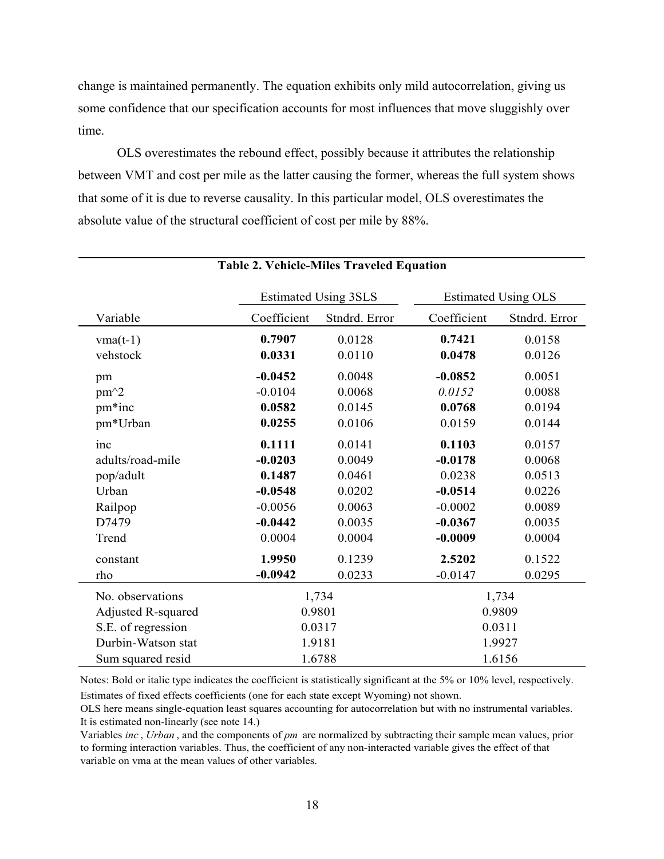change is maintained permanently. The equation exhibits only mild autocorrelation, giving us some confidence that our specification accounts for most influences that move sluggishly over time.

OLS overestimates the rebound effect, possibly because it attributes the relationship between VMT and cost per mile as the latter causing the former, whereas the full system shows that some of it is due to reverse causality. In this particular model, OLS overestimates the absolute value of the structural coefficient of cost per mile by 88%.

|                           | <b>Estimated Using 3SLS</b> |               |             | <b>Estimated Using OLS</b> |
|---------------------------|-----------------------------|---------------|-------------|----------------------------|
| Variable                  | Coefficient                 | Stndrd. Error | Coefficient | Stndrd. Error              |
| $vma(t-1)$                | 0.7907                      | 0.0128        | 0.7421      | 0.0158                     |
| vehstock                  | 0.0331                      | 0.0110        | 0.0478      | 0.0126                     |
| pm                        | $-0.0452$                   | 0.0048        | $-0.0852$   | 0.0051                     |
| $pm^2$                    | $-0.0104$                   | 0.0068        | 0.0152      | 0.0088                     |
| pm*inc                    | 0.0582                      | 0.0145        | 0.0768      | 0.0194                     |
| pm*Urban                  | 0.0255                      | 0.0106        | 0.0159      | 0.0144                     |
| inc                       | 0.1111                      | 0.0141        | 0.1103      | 0.0157                     |
| adults/road-mile          | $-0.0203$                   | 0.0049        | $-0.0178$   | 0.0068                     |
| pop/adult                 | 0.1487                      | 0.0461        | 0.0238      | 0.0513                     |
| Urban                     | $-0.0548$                   | 0.0202        | $-0.0514$   | 0.0226                     |
| Railpop                   | $-0.0056$                   | 0.0063        | $-0.0002$   | 0.0089                     |
| D7479                     | $-0.0442$                   | 0.0035        | $-0.0367$   | 0.0035                     |
| Trend                     | 0.0004                      | 0.0004        | $-0.0009$   | 0.0004                     |
| constant                  | 1.9950                      | 0.1239        | 2.5202      | 0.1522                     |
| rho                       | $-0.0942$                   | 0.0233        | $-0.0147$   | 0.0295                     |
| No. observations          |                             | 1,734         | 1,734       |                            |
| <b>Adjusted R-squared</b> |                             | 0.9801        | 0.9809      |                            |
| S.E. of regression        |                             | 0.0317        |             | 0.0311                     |
| Durbin-Watson stat        |                             | 1.9181        |             | 1.9927                     |
| Sum squared resid         |                             | 1.6788        | 1.6156      |                            |

#### **Table 2. Vehicle-Miles Traveled Equation**

Notes: Bold or italic type indicates the coefficient is statistically significant at the 5% or 10% level, respectively. Estimates of fixed effects coefficients (one for each state except Wyoming) not shown.

OLS here means single-equation least squares accounting for autocorrelation but with no instrumental variables. It is estimated non-linearly (see note 14.)

Variables *inc* , *Urban* , and the components of *pm* are normalized by subtracting their sample mean values, prior to forming interaction variables. Thus, the coefficient of any non-interacted variable gives the effect of that variable on vma at the mean values of other variables.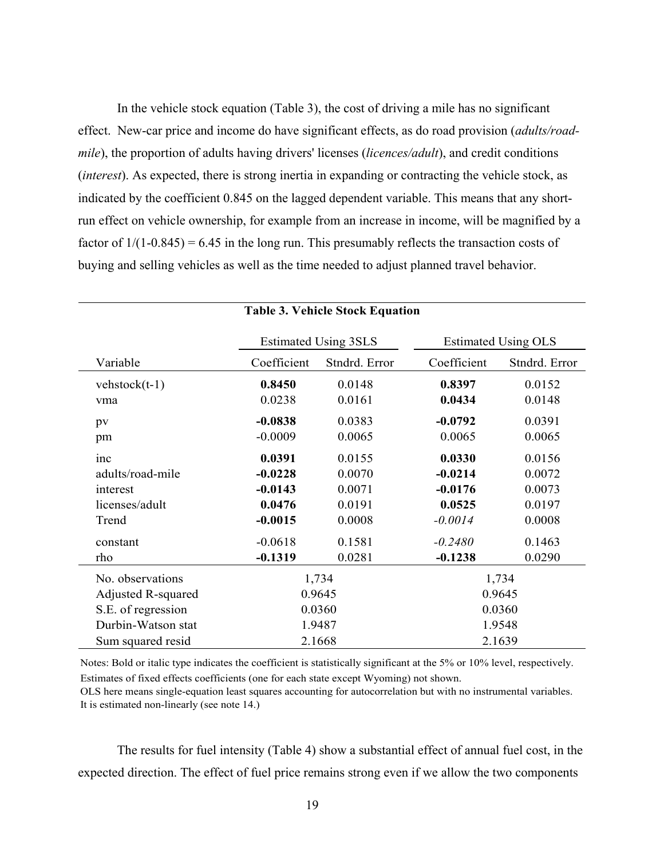In the vehicle stock equation (Table 3), the cost of driving a mile has no significant effect. New-car price and income do have significant effects, as do road provision (*adults/roadmile*), the proportion of adults having drivers' licenses *(licences/adult)*, and credit conditions (*interest*). As expected, there is strong inertia in expanding or contracting the vehicle stock, as indicated by the coefficient 0.845 on the lagged dependent variable. This means that any shortrun effect on vehicle ownership, for example from an increase in income, will be magnified by a factor of  $1/(1-0.845) = 6.45$  in the long run. This presumably reflects the transaction costs of buying and selling vehicles as well as the time needed to adjust planned travel behavior.

|                           | <b>Estimated Using 3SLS</b> |               |             | <b>Estimated Using OLS</b> |  |
|---------------------------|-----------------------------|---------------|-------------|----------------------------|--|
| Variable                  | Coefficient                 | Stndrd. Error | Coefficient | Stndrd. Error              |  |
| $vehstock(t-1)$           | 0.8450                      | 0.0148        | 0.8397      | 0.0152                     |  |
| vma                       | 0.0238                      | 0.0161        | 0.0434      | 0.0148                     |  |
| pv                        | $-0.0838$                   | 0.0383        | $-0.0792$   | 0.0391                     |  |
| pm                        | $-0.0009$                   | 0.0065        | 0.0065      | 0.0065                     |  |
| inc                       | 0.0391                      | 0.0155        | 0.0330      | 0.0156                     |  |
| adults/road-mile          | $-0.0228$                   | 0.0070        | $-0.0214$   | 0.0072                     |  |
| interest                  | $-0.0143$                   | 0.0071        | $-0.0176$   | 0.0073                     |  |
| licenses/adult            | 0.0476                      | 0.0191        | 0.0525      | 0.0197                     |  |
| Trend                     | $-0.0015$                   | 0.0008        | $-0.0014$   | 0.0008                     |  |
| constant                  | $-0.0618$                   | 0.1581        | $-0.2480$   | 0.1463                     |  |
| rho                       | $-0.1319$                   | 0.0281        | $-0.1238$   | 0.0290                     |  |
| No. observations          |                             | 1,734         |             | 1,734                      |  |
| <b>Adjusted R-squared</b> |                             | 0.9645        |             | 0.9645                     |  |
| S.E. of regression        |                             | 0.0360        |             | 0.0360                     |  |
| Durbin-Watson stat        |                             | 1.9487        | 1.9548      |                            |  |
| Sum squared resid         |                             | 2.1668        | 2.1639      |                            |  |

#### **Table 3. Vehicle Stock Equation**

Notes: Bold or italic type indicates the coefficient is statistically significant at the 5% or 10% level, respectively. Estimates of fixed effects coefficients (one for each state except Wyoming) not shown.

OLS here means single-equation least squares accounting for autocorrelation but with no instrumental variables. It is estimated non-linearly (see note 14.)

 The results for fuel intensity (Table 4) show a substantial effect of annual fuel cost, in the expected direction. The effect of fuel price remains strong even if we allow the two components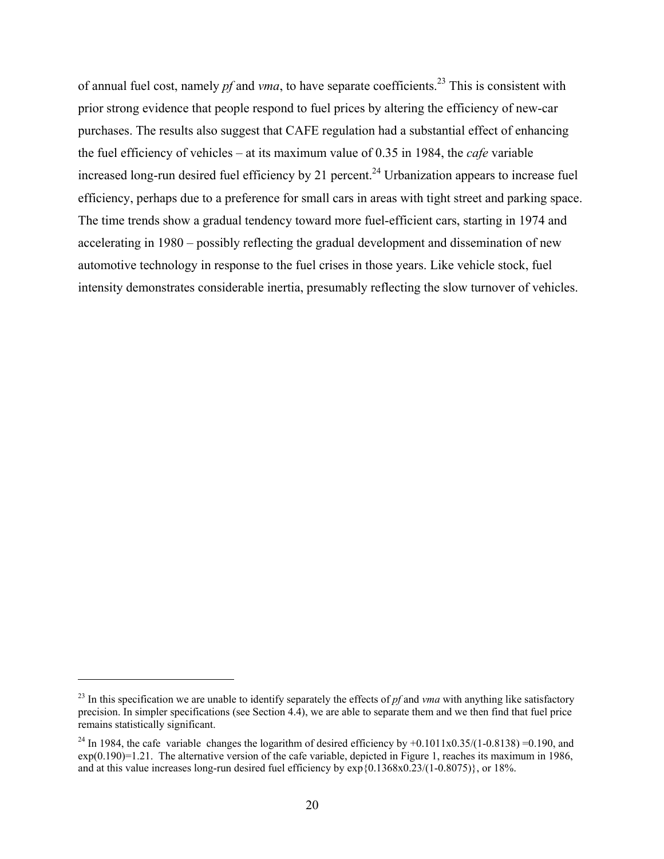of annual fuel cost, namely *pf* and *vma*, to have separate coefficients.23 This is consistent with prior strong evidence that people respond to fuel prices by altering the efficiency of new-car purchases. The results also suggest that CAFE regulation had a substantial effect of enhancing the fuel efficiency of vehicles – at its maximum value of 0.35 in 1984, the *cafe* variable increased long-run desired fuel efficiency by 21 percent.<sup>24</sup> Urbanization appears to increase fuel efficiency, perhaps due to a preference for small cars in areas with tight street and parking space. The time trends show a gradual tendency toward more fuel-efficient cars, starting in 1974 and accelerating in 1980 – possibly reflecting the gradual development and dissemination of new automotive technology in response to the fuel crises in those years. Like vehicle stock, fuel intensity demonstrates considerable inertia, presumably reflecting the slow turnover of vehicles.

 $\overline{a}$ 

 $^{23}$  In this specification we are unable to identify separately the effects of  $pf$  and  $vma$  with anything like satisfactory precision. In simpler specifications (see Section 4.4), we are able to separate them and we then find that fuel price remains statistically significant.

<sup>&</sup>lt;sup>24</sup> In 1984, the cafe variable changes the logarithm of desired efficiency by  $+0.1011x0.35/(1-0.8138) = 0.190$ , and  $\exp(0.190)$ =1.21. The alternative version of the cafe variable, depicted in Figure 1, reaches its maximum in 1986, and at this value increases long-run desired fuel efficiency by exp{0.1368x0.23/(1-0.8075)}, or 18%.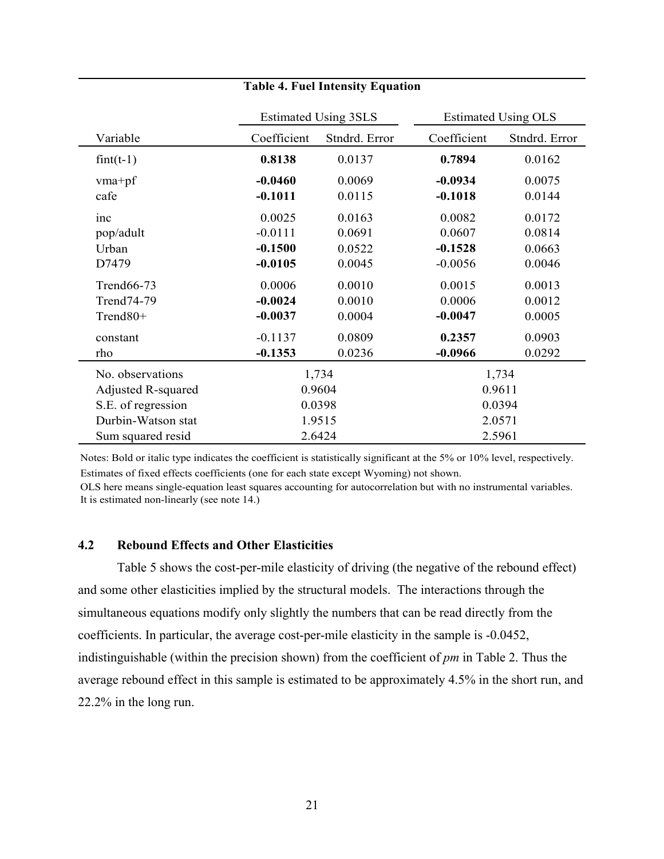|                           |             | <b>Estimated Using 3SLS</b> |             | <b>Estimated Using OLS</b> |  |
|---------------------------|-------------|-----------------------------|-------------|----------------------------|--|
| Variable                  | Coefficient | Stndrd. Error               | Coefficient | Stndrd. Error              |  |
| $fint(t-1)$               | 0.8138      | 0.0137                      | 0.7894      | 0.0162                     |  |
| $vma+pf$                  | $-0.0460$   | 0.0069                      | $-0.0934$   | 0.0075                     |  |
| cafe                      | $-0.1011$   | 0.0115                      | $-0.1018$   | 0.0144                     |  |
| inc                       | 0.0025      | 0.0163                      | 0.0082      | 0.0172                     |  |
| pop/adult                 | $-0.0111$   | 0.0691                      | 0.0607      | 0.0814                     |  |
| Urban                     | $-0.1500$   | 0.0522                      | $-0.1528$   | 0.0663                     |  |
| D7479                     | $-0.0105$   | 0.0045                      | $-0.0056$   | 0.0046                     |  |
| Trend66-73                | 0.0006      | 0.0010                      | 0.0015      | 0.0013                     |  |
| Trend74-79                | $-0.0024$   | 0.0010                      | 0.0006      | 0.0012                     |  |
| Trend80+                  | $-0.0037$   | 0.0004                      | $-0.0047$   | 0.0005                     |  |
| constant                  | $-0.1137$   | 0.0809                      | 0.2357      | 0.0903                     |  |
| rho                       | $-0.1353$   | 0.0236                      | $-0.0966$   | 0.0292                     |  |
| No. observations          |             | 1,734                       |             | 1,734                      |  |
| <b>Adjusted R-squared</b> | 0.9604      |                             | 0.9611      |                            |  |
| S.E. of regression        |             | 0.0398                      | 0.0394      |                            |  |
| Durbin-Watson stat        |             | 1.9515                      | 2.0571      |                            |  |
| Sum squared resid         |             | 2.6424                      | 2.5961      |                            |  |

### **Table 4. Fuel Intensity Equation**

Notes: Bold or italic type indicates the coefficient is statistically significant at the 5% or 10% level, respectively. Estimates of fixed effects coefficients (one for each state except Wyoming) not shown.

OLS here means single-equation least squares accounting for autocorrelation but with no instrumental variables. It is estimated non-linearly (see note 14.)

# **4.2 Rebound Effects and Other Elasticities**

Table 5 shows the cost-per-mile elasticity of driving (the negative of the rebound effect) and some other elasticities implied by the structural models. The interactions through the simultaneous equations modify only slightly the numbers that can be read directly from the coefficients. In particular, the average cost-per-mile elasticity in the sample is -0.0452, indistinguishable (within the precision shown) from the coefficient of *pm* in Table 2. Thus the average rebound effect in this sample is estimated to be approximately 4.5% in the short run, and 22.2% in the long run.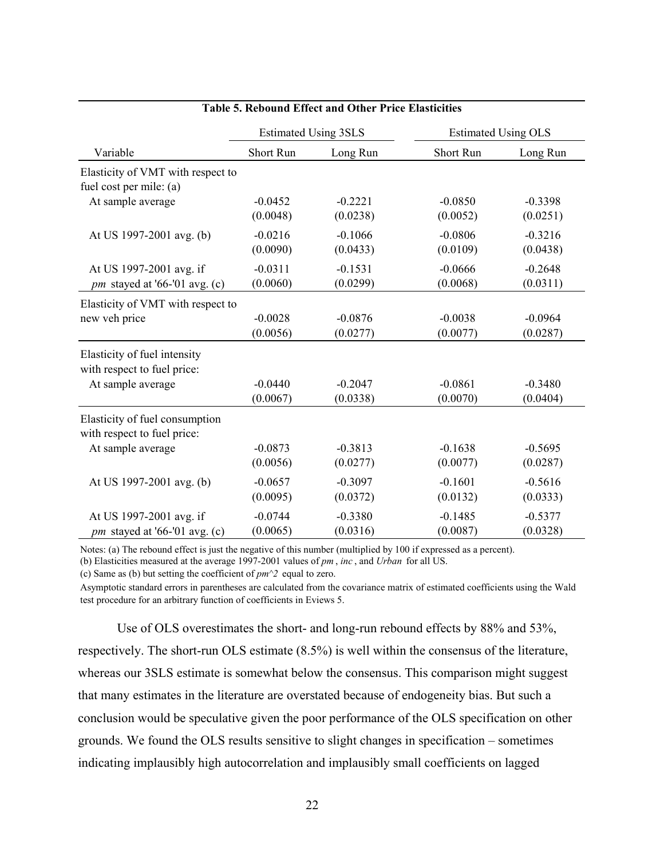|                                   | <b>Estimated Using 3SLS</b> |           | <b>Estimated Using OLS</b> |           |
|-----------------------------------|-----------------------------|-----------|----------------------------|-----------|
| Variable                          | Short Run                   | Long Run  | Short Run                  | Long Run  |
| Elasticity of VMT with respect to |                             |           |                            |           |
| fuel cost per mile: (a)           |                             |           |                            |           |
| At sample average                 | $-0.0452$                   | $-0.2221$ | $-0.0850$                  | $-0.3398$ |
|                                   | (0.0048)                    | (0.0238)  | (0.0052)                   | (0.0251)  |
| At US 1997-2001 avg. (b)          | $-0.0216$                   | $-0.1066$ | $-0.0806$                  | $-0.3216$ |
|                                   | (0.0090)                    | (0.0433)  | (0.0109)                   | (0.0438)  |
| At US 1997-2001 avg. if           | $-0.0311$                   | $-0.1531$ | $-0.0666$                  | $-0.2648$ |
| pm stayed at '66-'01 avg. (c)     | (0.0060)                    | (0.0299)  | (0.0068)                   | (0.0311)  |
| Elasticity of VMT with respect to |                             |           |                            |           |
| new veh price                     | $-0.0028$                   | $-0.0876$ | $-0.0038$                  | $-0.0964$ |
|                                   | (0.0056)                    | (0.0277)  | (0.0077)                   | (0.0287)  |
| Elasticity of fuel intensity      |                             |           |                            |           |
| with respect to fuel price:       |                             |           |                            |           |
| At sample average                 | $-0.0440$                   | $-0.2047$ | $-0.0861$                  | $-0.3480$ |
|                                   | (0.0067)                    | (0.0338)  | (0.0070)                   | (0.0404)  |
| Elasticity of fuel consumption    |                             |           |                            |           |
| with respect to fuel price:       |                             |           |                            |           |
| At sample average                 | $-0.0873$                   | $-0.3813$ | $-0.1638$                  | $-0.5695$ |
|                                   | (0.0056)                    | (0.0277)  | (0.0077)                   | (0.0287)  |
| At US 1997-2001 avg. (b)          | $-0.0657$                   | $-0.3097$ | $-0.1601$                  | $-0.5616$ |
|                                   | (0.0095)                    | (0.0372)  | (0.0132)                   | (0.0333)  |
| At US 1997-2001 avg. if           | $-0.0744$                   | $-0.3380$ | $-0.1485$                  | $-0.5377$ |
| pm stayed at '66-'01 avg. (c)     | (0.0065)                    | (0.0316)  | (0.0087)                   | (0.0328)  |

# **Table 5. Rebound Effect and Other Price Elasticities**

Notes: (a) The rebound effect is just the negative of this number (multiplied by 100 if expressed as a percent).

(b) Elasticities measured at the average 1997-2001 values of *pm* , *inc* , and *Urban* for all US.

(c) Same as (b) but setting the coefficient of *pm^2* equal to zero.

Asymptotic standard errors in parentheses are calculated from the covariance matrix of estimated coefficients using the Wald test procedure for an arbitrary function of coefficients in Eviews 5.

Use of OLS overestimates the short- and long-run rebound effects by 88% and 53%, respectively. The short-run OLS estimate (8.5%) is well within the consensus of the literature, whereas our 3SLS estimate is somewhat below the consensus. This comparison might suggest that many estimates in the literature are overstated because of endogeneity bias. But such a conclusion would be speculative given the poor performance of the OLS specification on other grounds. We found the OLS results sensitive to slight changes in specification – sometimes indicating implausibly high autocorrelation and implausibly small coefficients on lagged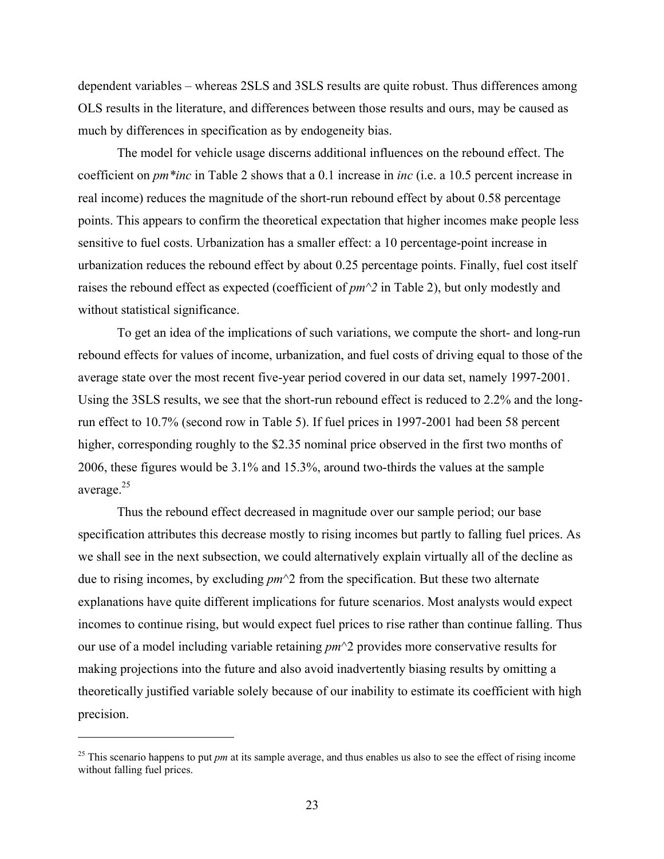dependent variables – whereas 2SLS and 3SLS results are quite robust. Thus differences among OLS results in the literature, and differences between those results and ours, may be caused as much by differences in specification as by endogeneity bias.

The model for vehicle usage discerns additional influences on the rebound effect. The coefficient on *pm\*inc* in Table 2 shows that a 0.1 increase in *inc* (i.e. a 10.5 percent increase in real income) reduces the magnitude of the short-run rebound effect by about 0.58 percentage points. This appears to confirm the theoretical expectation that higher incomes make people less sensitive to fuel costs. Urbanization has a smaller effect: a 10 percentage-point increase in urbanization reduces the rebound effect by about 0.25 percentage points. Finally, fuel cost itself raises the rebound effect as expected (coefficient of *pm^2* in Table 2), but only modestly and without statistical significance.

To get an idea of the implications of such variations, we compute the short- and long-run rebound effects for values of income, urbanization, and fuel costs of driving equal to those of the average state over the most recent five-year period covered in our data set, namely 1997-2001. Using the 3SLS results, we see that the short-run rebound effect is reduced to 2.2% and the longrun effect to 10.7% (second row in Table 5). If fuel prices in 1997-2001 had been 58 percent higher, corresponding roughly to the \$2.35 nominal price observed in the first two months of 2006, these figures would be 3.1% and 15.3%, around two-thirds the values at the sample average.25

Thus the rebound effect decreased in magnitude over our sample period; our base specification attributes this decrease mostly to rising incomes but partly to falling fuel prices. As we shall see in the next subsection, we could alternatively explain virtually all of the decline as due to rising incomes, by excluding *pm*^2 from the specification. But these two alternate explanations have quite different implications for future scenarios. Most analysts would expect incomes to continue rising, but would expect fuel prices to rise rather than continue falling. Thus our use of a model including variable retaining *pm*^2 provides more conservative results for making projections into the future and also avoid inadvertently biasing results by omitting a theoretically justified variable solely because of our inability to estimate its coefficient with high precision.

<u>.</u>

 $^{25}$  This scenario happens to put *pm* at its sample average, and thus enables us also to see the effect of rising income without falling fuel prices.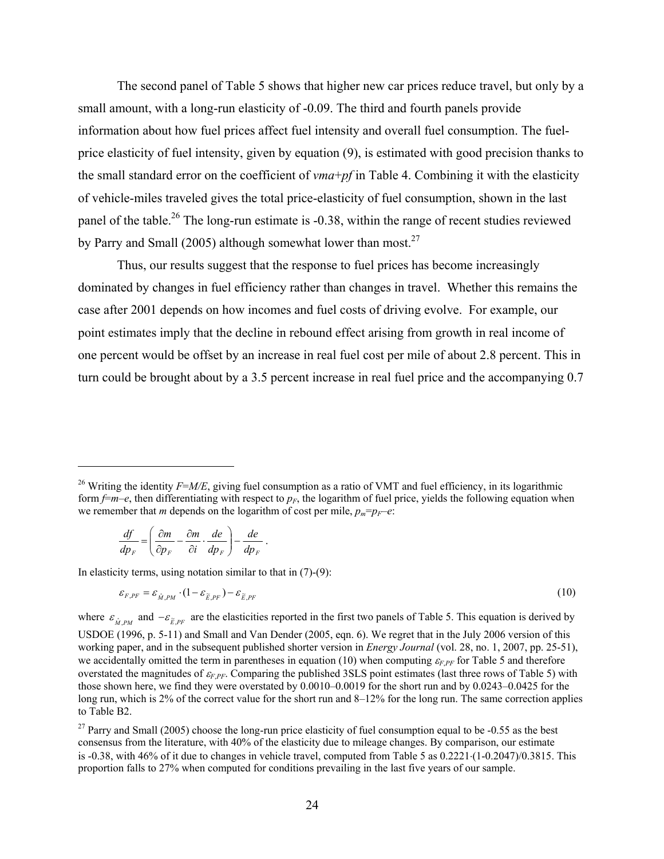The second panel of Table 5 shows that higher new car prices reduce travel, but only by a small amount, with a long-run elasticity of -0.09. The third and fourth panels provide information about how fuel prices affect fuel intensity and overall fuel consumption. The fuelprice elasticity of fuel intensity, given by equation (9), is estimated with good precision thanks to the small standard error on the coefficient of *vma*+*pf* in Table 4. Combining it with the elasticity of vehicle-miles traveled gives the total price-elasticity of fuel consumption, shown in the last panel of the table.<sup>26</sup> The long-run estimate is -0.38, within the range of recent studies reviewed by Parry and Small (2005) although somewhat lower than most.<sup>27</sup>

Thus, our results suggest that the response to fuel prices has become increasingly dominated by changes in fuel efficiency rather than changes in travel. Whether this remains the case after 2001 depends on how incomes and fuel costs of driving evolve. For example, our point estimates imply that the decline in rebound effect arising from growth in real income of one percent would be offset by an increase in real fuel cost per mile of about 2.8 percent. This in turn could be brought about by a 3.5 percent increase in real fuel price and the accompanying 0.7

$$
\frac{df}{dp_F} = \left(\frac{\partial m}{\partial p_F} - \frac{\partial m}{\partial i} \cdot \frac{de}{dp_F}\right) - \frac{de}{dp_F}.
$$

 $\overline{a}$ 

In elasticity terms, using notation similar to that in  $(7)-(9)$ :

$$
\varepsilon_{F,PF} = \varepsilon_{\hat{M},PM} \cdot (1 - \varepsilon_{\widetilde{E},PF}) - \varepsilon_{\widetilde{E},PF}
$$
 (10)

where  $\varepsilon_{\hat{M},PM}$  and  $-\varepsilon_{\tilde{E},PF}$  are the elasticities reported in the first two panels of Table 5. This equation is derived by USDOE (1996, p. 5-11) and Small and Van Dender (2005, eqn. 6). We regret that in the July 2006 version of this working paper, and in the subsequent published shorter version in *Energy Journal* (vol. 28, no. 1, 2007, pp. 25-51), we accidentally omitted the term in parentheses in equation (10) when computing  $\varepsilon_F$ <sub>*PF*</sub> for Table 5 and therefore overstated the magnitudes of <sup>ε</sup>*F*,*PF*. Comparing the published 3SLS point estimates (last three rows of Table 5) with those shown here, we find they were overstated by 0.0010–0.0019 for the short run and by 0.0243–0.0425 for the long run, which is 2% of the correct value for the short run and 8–12% for the long run. The same correction applies to Table B2.

 $27$  Parry and Small (2005) choose the long-run price elasticity of fuel consumption equal to be -0.55 as the best consensus from the literature, with 40% of the elasticity due to mileage changes. By comparison, our estimate is -0.38, with 46% of it due to changes in vehicle travel, computed from Table 5 as 0.2221⋅(1-0.2047)/0.3815. This proportion falls to 27% when computed for conditions prevailing in the last five years of our sample.

<sup>&</sup>lt;sup>26</sup> Writing the identity *F=M/E*, giving fuel consumption as a ratio of VMT and fuel efficiency, in its logarithmic form  $f=m-e$ , then differentiating with respect to  $p<sub>F</sub>$ , the logarithm of fuel price, yields the following equation when we remember that *m* depends on the logarithm of cost per mile,  $p_m=p_F-e$ :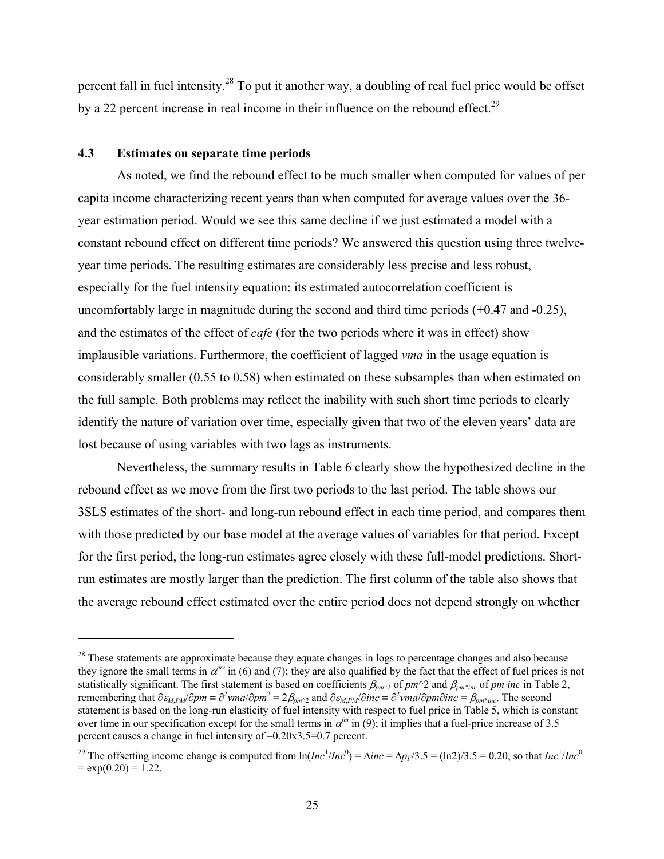percent fall in fuel intensity.28 To put it another way, a doubling of real fuel price would be offset by a 22 percent increase in real income in their influence on the rebound effect.<sup>29</sup>

#### **4.3 Estimates on separate time periods**

 $\overline{a}$ 

 As noted, we find the rebound effect to be much smaller when computed for values of per capita income characterizing recent years than when computed for average values over the 36 year estimation period. Would we see this same decline if we just estimated a model with a constant rebound effect on different time periods? We answered this question using three twelveyear time periods. The resulting estimates are considerably less precise and less robust, especially for the fuel intensity equation: its estimated autocorrelation coefficient is uncomfortably large in magnitude during the second and third time periods (+0.47 and -0.25), and the estimates of the effect of *cafe* (for the two periods where it was in effect) show implausible variations. Furthermore, the coefficient of lagged *vma* in the usage equation is considerably smaller (0.55 to 0.58) when estimated on these subsamples than when estimated on the full sample. Both problems may reflect the inability with such short time periods to clearly identify the nature of variation over time, especially given that two of the eleven years' data are lost because of using variables with two lags as instruments.

 Nevertheless, the summary results in Table 6 clearly show the hypothesized decline in the rebound effect as we move from the first two periods to the last period. The table shows our 3SLS estimates of the short- and long-run rebound effect in each time period, and compares them with those predicted by our base model at the average values of variables for that period. Except for the first period, the long-run estimates agree closely with these full-model predictions. Shortrun estimates are mostly larger than the prediction. The first column of the table also shows that the average rebound effect estimated over the entire period does not depend strongly on whether

<sup>&</sup>lt;sup>28</sup> These statements are approximate because they equate changes in logs to percentage changes and also because they ignore the small terms in α*mv* in (6) and (7); they are also qualified by the fact that the effect of fuel prices is not statistically significant. The first statement is based on coefficients  $\beta_{pm^2}$  of  $pm^2$  and  $\beta_{pm^*inc}$  of  $pm\cdot inc$  in Table 2,  $r$  remembering that  $\partial \varepsilon_{M,PM}/\partial pm \equiv \partial^2 \nu ma/\partial pm^2 = 2\beta_{pm^2/2}$  and  $\partial \varepsilon_{M,PM}/\partial inc \equiv \partial^2 \nu ma/\partial pm \partial inc = \beta_{pm^*inc}$ . The second statement is based on the long-run elasticity of fuel intensity with respect to fuel price in Table 5, which is constant over time in our specification except for the small terms in  $\alpha^{fm}$  in (9); it implies that a fuel-price increase of 3.5 percent causes a change in fuel intensity of –0.20x3.5=0.7 percent.

<sup>&</sup>lt;sup>29</sup> The offsetting income change is computed from  $\ln(hc^1/hc^0) = \Delta inc = \Delta p_F/3.5 = (\ln 2)/3.5 = 0.20$ , so that  $Inc^1/hc^0$  $=$  exp(0.20) = 1.22.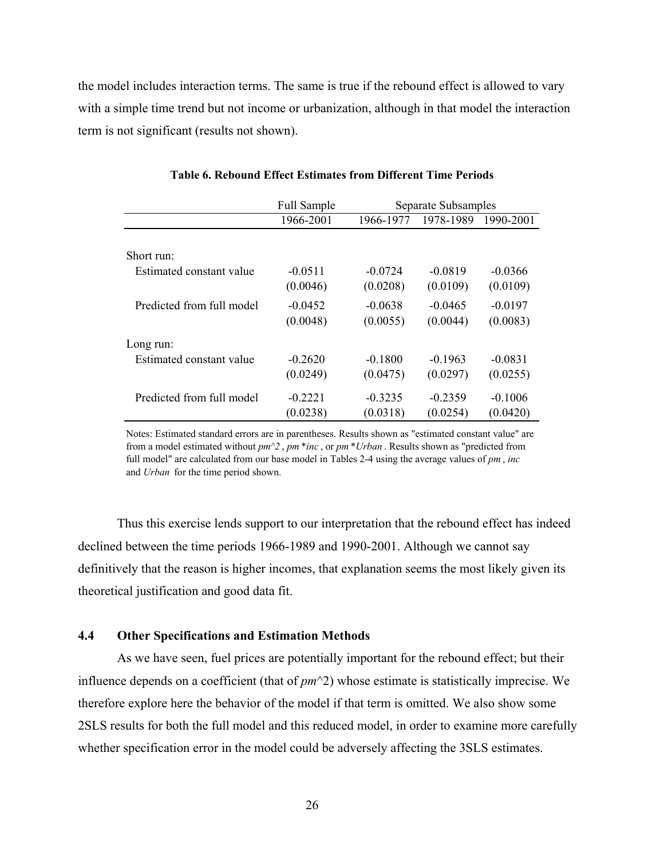the model includes interaction terms. The same is true if the rebound effect is allowed to vary with a simple time trend but not income or urbanization, although in that model the interaction term is not significant (results not shown).

|                           | <b>Full Sample</b> |           | Separate Subsamples |           |
|---------------------------|--------------------|-----------|---------------------|-----------|
|                           | 1966-2001          | 1966-1977 | 1978-1989           | 1990-2001 |
|                           |                    |           |                     |           |
| Short run:                |                    |           |                     |           |
| Estimated constant value  | $-0.0511$          | $-0.0724$ | $-0.0819$           | $-0.0366$ |
|                           | (0.0046)           | (0.0208)  | (0.0109)            | (0.0109)  |
| Predicted from full model | $-0.0452$          | $-0.0638$ | $-0.0465$           | $-0.0197$ |
|                           | (0.0048)           | (0.0055)  | (0.0044)            | (0.0083)  |
| Long run:                 |                    |           |                     |           |
| Estimated constant value  | $-0.2620$          | $-0.1800$ | $-0.1963$           | $-0.0831$ |
|                           | (0.0249)           | (0.0475)  | (0.0297)            | (0.0255)  |
| Predicted from full model | $-0.2221$          | $-0.3235$ | $-0.2359$           | $-0.1006$ |
|                           | (0.0238)           | (0.0318)  | (0.0254)            | (0.0420)  |

#### **Table 6. Rebound Effect Estimates from Different Time Periods**

Notes: Estimated standard errors are in parentheses. Results shown as "estimated constant value" are from a model estimated without *pm^2* , *pm* \**inc* , or *pm* \**Urban* . Results shown as "predicted from full model" are calculated from our base model in Tables 2-4 using the average values of *pm* , *inc*  and *Urban* for the time period shown.

 Thus this exercise lends support to our interpretation that the rebound effect has indeed declined between the time periods 1966-1989 and 1990-2001. Although we cannot say definitively that the reason is higher incomes, that explanation seems the most likely given its theoretical justification and good data fit.

# **4.4 Other Specifications and Estimation Methods**

 As we have seen, fuel prices are potentially important for the rebound effect; but their influence depends on a coefficient (that of *pm*^2) whose estimate is statistically imprecise. We therefore explore here the behavior of the model if that term is omitted. We also show some 2SLS results for both the full model and this reduced model, in order to examine more carefully whether specification error in the model could be adversely affecting the 3SLS estimates.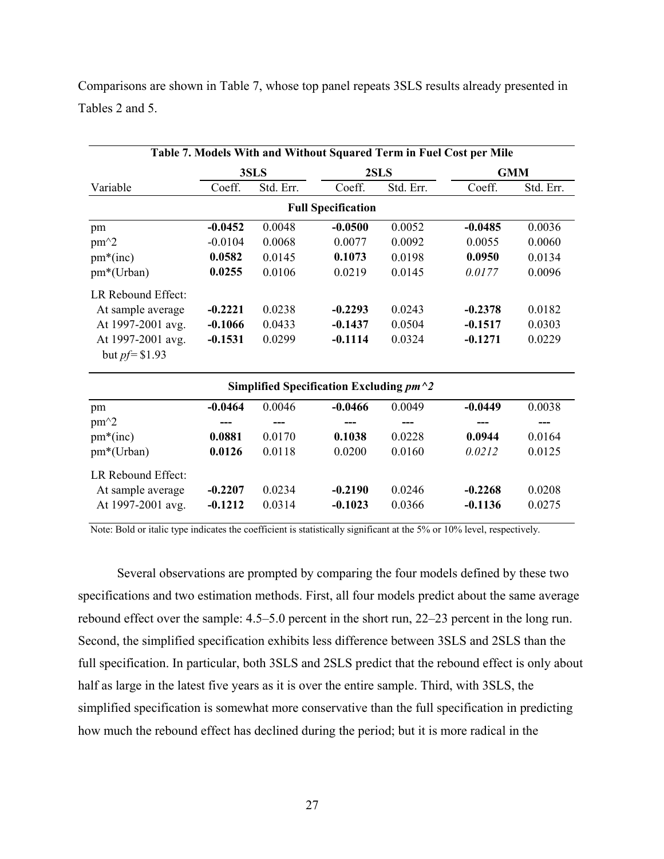Comparisons are shown in Table 7, whose top panel repeats 3SLS results already presented in Tables 2 and 5.

|                    |           |              |                                           |           | Table 7. Models With and Without Squared Term in Fuel Cost per Mile |           |
|--------------------|-----------|--------------|-------------------------------------------|-----------|---------------------------------------------------------------------|-----------|
|                    |           | 2SLS<br>3SLS |                                           |           | <b>GMM</b>                                                          |           |
| Variable           | Coeff.    | Std. Err.    | Coeff.                                    | Std. Err. | Coeff.                                                              | Std. Err. |
|                    |           |              | <b>Full Specification</b>                 |           |                                                                     |           |
| pm                 | $-0.0452$ | 0.0048       | $-0.0500$                                 | 0.0052    | $-0.0485$                                                           | 0.0036    |
| $pm^2$             | $-0.0104$ | 0.0068       | 0.0077                                    | 0.0092    | 0.0055                                                              | 0.0060    |
| $pm*(inc)$         | 0.0582    | 0.0145       | 0.1073                                    | 0.0198    | 0.0950                                                              | 0.0134    |
| pm*(Urban)         | 0.0255    | 0.0106       | 0.0219                                    | 0.0145    | 0.0177                                                              | 0.0096    |
| LR Rebound Effect: |           |              |                                           |           |                                                                     |           |
| At sample average  | $-0.2221$ | 0.0238       | $-0.2293$                                 | 0.0243    | $-0.2378$                                                           | 0.0182    |
| At 1997-2001 avg.  | $-0.1066$ | 0.0433       | $-0.1437$                                 | 0.0504    | $-0.1517$                                                           | 0.0303    |
| At 1997-2001 avg.  | $-0.1531$ | 0.0299       | $-0.1114$                                 | 0.0324    | $-0.1271$                                                           | 0.0229    |
| but $pf = $1.93$   |           |              |                                           |           |                                                                     |           |
|                    |           |              | Simplified Specification Excluding $pm^2$ |           |                                                                     |           |
| pm                 | $-0.0464$ | 0.0046       | $-0.0466$                                 | 0.0049    | $-0.0449$                                                           | 0.0038    |
| $pm^2$             |           |              |                                           |           |                                                                     |           |
| $pm*(inc)$         | 0.0881    | 0.0170       | 0.1038                                    | 0.0228    | 0.0944                                                              | 0.0164    |
| pm*(Urban)         | 0.0126    | 0.0118       | 0.0200                                    | 0.0160    | 0.0212                                                              | 0.0125    |
| LR Rebound Effect: |           |              |                                           |           |                                                                     |           |
| At sample average  | $-0.2207$ | 0.0234       | $-0.2190$                                 | 0.0246    | $-0.2268$                                                           | 0.0208    |
| At 1997-2001 avg.  | $-0.1212$ | 0.0314       | $-0.1023$                                 | 0.0366    | $-0.1136$                                                           | 0.0275    |

Note: Bold or italic type indicates the coefficient is statistically significant at the 5% or 10% level, respectively.

 Several observations are prompted by comparing the four models defined by these two specifications and two estimation methods. First, all four models predict about the same average rebound effect over the sample: 4.5–5.0 percent in the short run, 22–23 percent in the long run. Second, the simplified specification exhibits less difference between 3SLS and 2SLS than the full specification. In particular, both 3SLS and 2SLS predict that the rebound effect is only about half as large in the latest five years as it is over the entire sample. Third, with 3SLS, the simplified specification is somewhat more conservative than the full specification in predicting how much the rebound effect has declined during the period; but it is more radical in the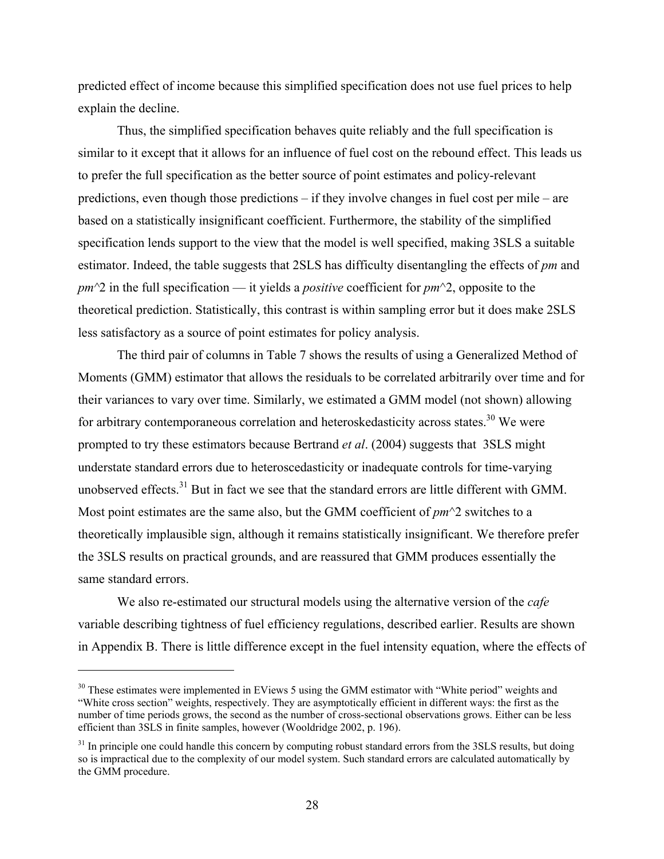predicted effect of income because this simplified specification does not use fuel prices to help explain the decline.

 Thus, the simplified specification behaves quite reliably and the full specification is similar to it except that it allows for an influence of fuel cost on the rebound effect. This leads us to prefer the full specification as the better source of point estimates and policy-relevant predictions, even though those predictions – if they involve changes in fuel cost per mile – are based on a statistically insignificant coefficient. Furthermore, the stability of the simplified specification lends support to the view that the model is well specified, making 3SLS a suitable estimator. Indeed, the table suggests that 2SLS has difficulty disentangling the effects of *pm* and *pm^*2 in the full specification — it yields a *positive* coefficient for *pm*^2, opposite to the theoretical prediction. Statistically, this contrast is within sampling error but it does make 2SLS less satisfactory as a source of point estimates for policy analysis.

 The third pair of columns in Table 7 shows the results of using a Generalized Method of Moments (GMM) estimator that allows the residuals to be correlated arbitrarily over time and for their variances to vary over time. Similarly, we estimated a GMM model (not shown) allowing for arbitrary contemporaneous correlation and heteroskedasticity across states.<sup>30</sup> We were prompted to try these estimators because Bertrand *et al*. (2004) suggests that 3SLS might understate standard errors due to heteroscedasticity or inadequate controls for time-varying unobserved effects.<sup>31</sup> But in fact we see that the standard errors are little different with GMM. Most point estimates are the same also, but the GMM coefficient of *pm*^2 switches to a theoretically implausible sign, although it remains statistically insignificant. We therefore prefer the 3SLS results on practical grounds, and are reassured that GMM produces essentially the same standard errors.

 We also re-estimated our structural models using the alternative version of the *cafe* variable describing tightness of fuel efficiency regulations, described earlier. Results are shown in Appendix B. There is little difference except in the fuel intensity equation, where the effects of

<sup>&</sup>lt;sup>30</sup> These estimates were implemented in EViews 5 using the GMM estimator with "White period" weights and "White cross section" weights, respectively. They are asymptotically efficient in different ways: the first as the number of time periods grows, the second as the number of cross-sectional observations grows. Either can be less efficient than 3SLS in finite samples, however (Wooldridge 2002, p. 196).

 $31$  In principle one could handle this concern by computing robust standard errors from the  $3SLS$  results, but doing so is impractical due to the complexity of our model system. Such standard errors are calculated automatically by the GMM procedure.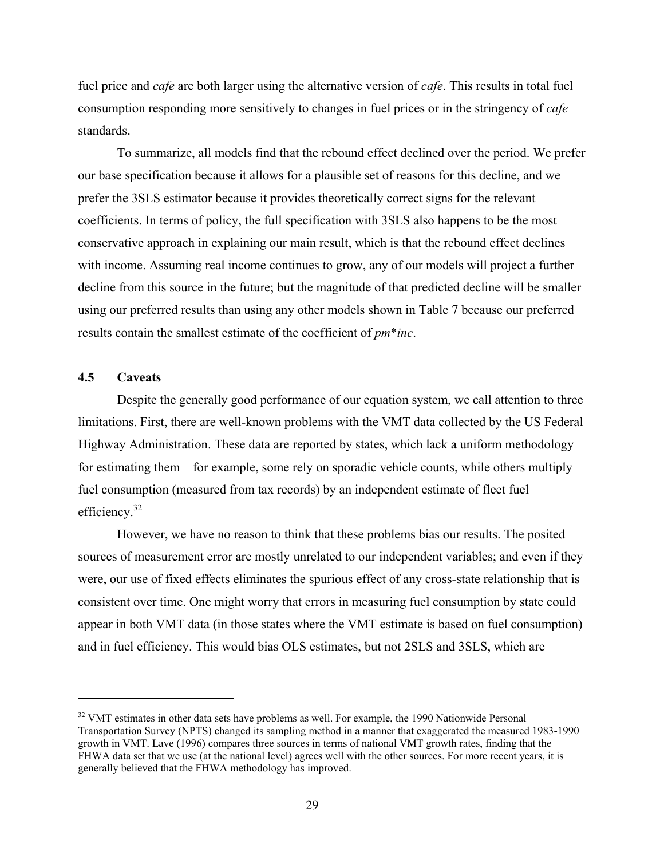fuel price and *cafe* are both larger using the alternative version of *cafe*. This results in total fuel consumption responding more sensitively to changes in fuel prices or in the stringency of *cafe* standards.

 To summarize, all models find that the rebound effect declined over the period. We prefer our base specification because it allows for a plausible set of reasons for this decline, and we prefer the 3SLS estimator because it provides theoretically correct signs for the relevant coefficients. In terms of policy, the full specification with 3SLS also happens to be the most conservative approach in explaining our main result, which is that the rebound effect declines with income. Assuming real income continues to grow, any of our models will project a further decline from this source in the future; but the magnitude of that predicted decline will be smaller using our preferred results than using any other models shown in Table 7 because our preferred results contain the smallest estimate of the coefficient of *pm*\**inc*.

### **4.5 Caveats**

 $\overline{a}$ 

Despite the generally good performance of our equation system, we call attention to three limitations. First, there are well-known problems with the VMT data collected by the US Federal Highway Administration. These data are reported by states, which lack a uniform methodology for estimating them – for example, some rely on sporadic vehicle counts, while others multiply fuel consumption (measured from tax records) by an independent estimate of fleet fuel efficiency.<sup>32</sup>

However, we have no reason to think that these problems bias our results. The posited sources of measurement error are mostly unrelated to our independent variables; and even if they were, our use of fixed effects eliminates the spurious effect of any cross-state relationship that is consistent over time. One might worry that errors in measuring fuel consumption by state could appear in both VMT data (in those states where the VMT estimate is based on fuel consumption) and in fuel efficiency. This would bias OLS estimates, but not 2SLS and 3SLS, which are

 $32$  VMT estimates in other data sets have problems as well. For example, the 1990 Nationwide Personal Transportation Survey (NPTS) changed its sampling method in a manner that exaggerated the measured 1983-1990 growth in VMT. Lave (1996) compares three sources in terms of national VMT growth rates, finding that the FHWA data set that we use (at the national level) agrees well with the other sources. For more recent years, it is generally believed that the FHWA methodology has improved.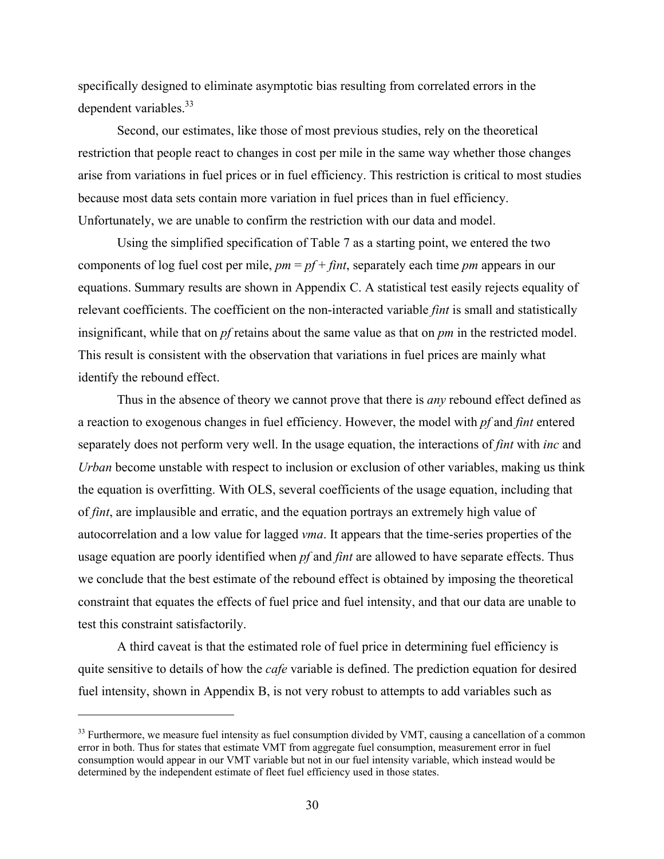specifically designed to eliminate asymptotic bias resulting from correlated errors in the dependent variables. $33$ 

Second, our estimates, like those of most previous studies, rely on the theoretical restriction that people react to changes in cost per mile in the same way whether those changes arise from variations in fuel prices or in fuel efficiency. This restriction is critical to most studies because most data sets contain more variation in fuel prices than in fuel efficiency. Unfortunately, we are unable to confirm the restriction with our data and model.

Using the simplified specification of Table 7 as a starting point, we entered the two components of log fuel cost per mile, *pm* = *pf* + *fint*, separately each time *pm* appears in our equations. Summary results are shown in Appendix C. A statistical test easily rejects equality of relevant coefficients. The coefficient on the non-interacted variable *fint* is small and statistically insignificant, while that on *pf* retains about the same value as that on *pm* in the restricted model. This result is consistent with the observation that variations in fuel prices are mainly what identify the rebound effect.

Thus in the absence of theory we cannot prove that there is *any* rebound effect defined as a reaction to exogenous changes in fuel efficiency. However, the model with *pf* and *fint* entered separately does not perform very well. In the usage equation, the interactions of *fint* with *inc* and *Urban* become unstable with respect to inclusion or exclusion of other variables, making us think the equation is overfitting. With OLS, several coefficients of the usage equation, including that of *fint*, are implausible and erratic, and the equation portrays an extremely high value of autocorrelation and a low value for lagged *vma*. It appears that the time-series properties of the usage equation are poorly identified when *pf* and *fint* are allowed to have separate effects. Thus we conclude that the best estimate of the rebound effect is obtained by imposing the theoretical constraint that equates the effects of fuel price and fuel intensity, and that our data are unable to test this constraint satisfactorily.

A third caveat is that the estimated role of fuel price in determining fuel efficiency is quite sensitive to details of how the *cafe* variable is defined. The prediction equation for desired fuel intensity, shown in Appendix B, is not very robust to attempts to add variables such as

<sup>&</sup>lt;sup>33</sup> Furthermore, we measure fuel intensity as fuel consumption divided by VMT, causing a cancellation of a common error in both. Thus for states that estimate VMT from aggregate fuel consumption, measurement error in fuel consumption would appear in our VMT variable but not in our fuel intensity variable, which instead would be determined by the independent estimate of fleet fuel efficiency used in those states.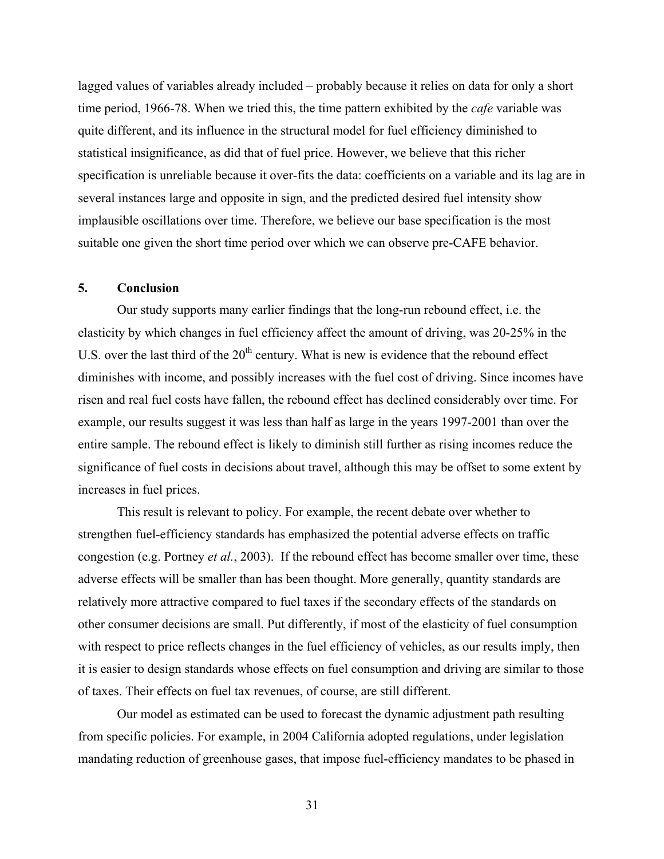lagged values of variables already included – probably because it relies on data for only a short time period, 1966-78. When we tried this, the time pattern exhibited by the *cafe* variable was quite different, and its influence in the structural model for fuel efficiency diminished to statistical insignificance, as did that of fuel price. However, we believe that this richer specification is unreliable because it over-fits the data: coefficients on a variable and its lag are in several instances large and opposite in sign, and the predicted desired fuel intensity show implausible oscillations over time. Therefore, we believe our base specification is the most suitable one given the short time period over which we can observe pre-CAFE behavior.

### **5. Conclusion**

Our study supports many earlier findings that the long-run rebound effect, i.e. the elasticity by which changes in fuel efficiency affect the amount of driving, was 20-25% in the U.S. over the last third of the  $20<sup>th</sup>$  century. What is new is evidence that the rebound effect diminishes with income, and possibly increases with the fuel cost of driving. Since incomes have risen and real fuel costs have fallen, the rebound effect has declined considerably over time. For example, our results suggest it was less than half as large in the years 1997-2001 than over the entire sample. The rebound effect is likely to diminish still further as rising incomes reduce the significance of fuel costs in decisions about travel, although this may be offset to some extent by increases in fuel prices.

 This result is relevant to policy. For example, the recent debate over whether to strengthen fuel-efficiency standards has emphasized the potential adverse effects on traffic congestion (e.g. Portney *et al.*, 2003). If the rebound effect has become smaller over time, these adverse effects will be smaller than has been thought. More generally, quantity standards are relatively more attractive compared to fuel taxes if the secondary effects of the standards on other consumer decisions are small. Put differently, if most of the elasticity of fuel consumption with respect to price reflects changes in the fuel efficiency of vehicles, as our results imply, then it is easier to design standards whose effects on fuel consumption and driving are similar to those of taxes. Their effects on fuel tax revenues, of course, are still different.

 Our model as estimated can be used to forecast the dynamic adjustment path resulting from specific policies. For example, in 2004 California adopted regulations, under legislation mandating reduction of greenhouse gases, that impose fuel-efficiency mandates to be phased in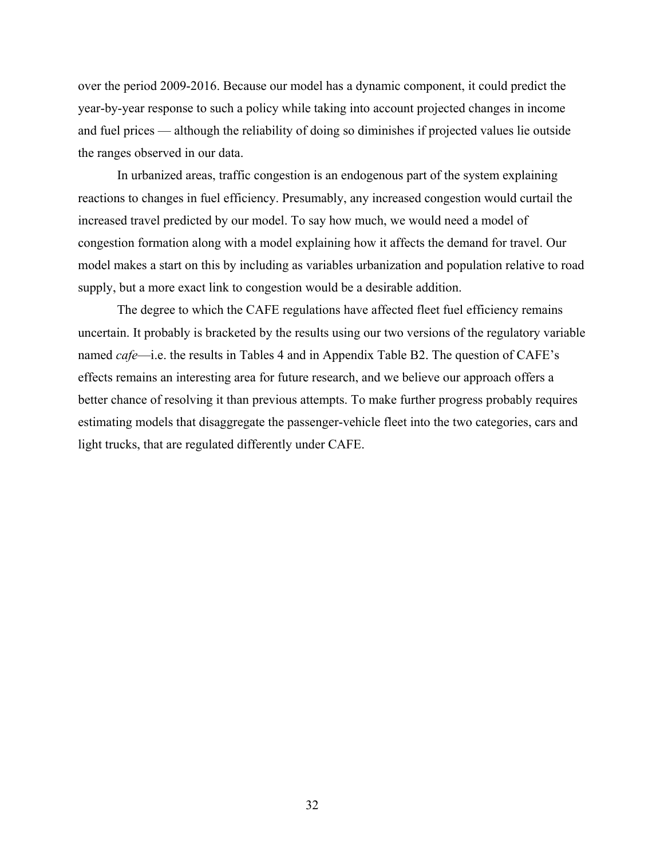over the period 2009-2016. Because our model has a dynamic component, it could predict the year-by-year response to such a policy while taking into account projected changes in income and fuel prices — although the reliability of doing so diminishes if projected values lie outside the ranges observed in our data.

 In urbanized areas, traffic congestion is an endogenous part of the system explaining reactions to changes in fuel efficiency. Presumably, any increased congestion would curtail the increased travel predicted by our model. To say how much, we would need a model of congestion formation along with a model explaining how it affects the demand for travel. Our model makes a start on this by including as variables urbanization and population relative to road supply, but a more exact link to congestion would be a desirable addition.

 The degree to which the CAFE regulations have affected fleet fuel efficiency remains uncertain. It probably is bracketed by the results using our two versions of the regulatory variable named *cafe*—i.e. the results in Tables 4 and in Appendix Table B2. The question of CAFE's effects remains an interesting area for future research, and we believe our approach offers a better chance of resolving it than previous attempts. To make further progress probably requires estimating models that disaggregate the passenger-vehicle fleet into the two categories, cars and light trucks, that are regulated differently under CAFE.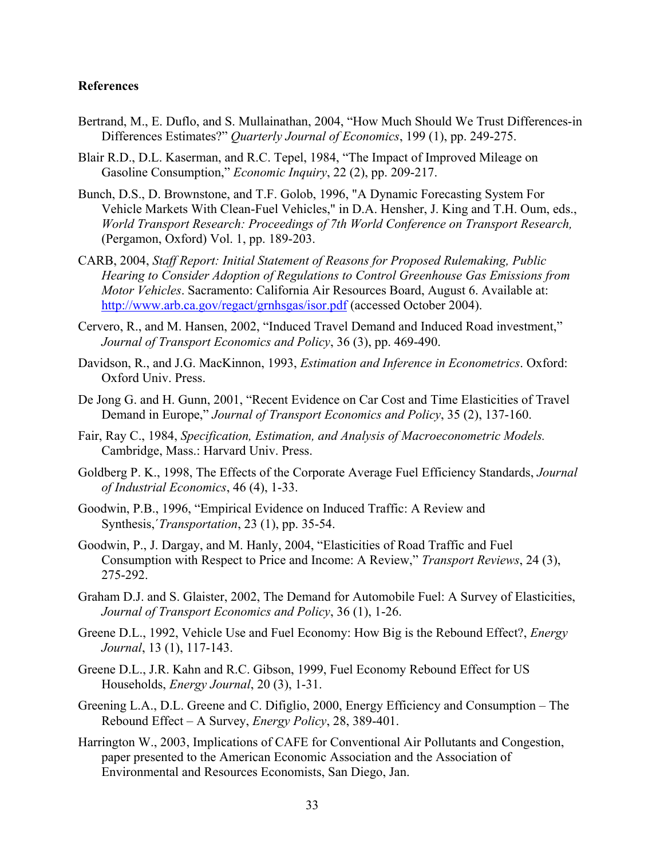### **References**

- Bertrand, M., E. Duflo, and S. Mullainathan, 2004, "How Much Should We Trust Differences-in Differences Estimates?" *Quarterly Journal of Economics*, 199 (1), pp. 249-275.
- Blair R.D., D.L. Kaserman, and R.C. Tepel, 1984, "The Impact of Improved Mileage on Gasoline Consumption," *Economic Inquiry*, 22 (2), pp. 209-217.
- Bunch, D.S., D. Brownstone, and T.F. Golob, 1996, "A Dynamic Forecasting System For Vehicle Markets With Clean-Fuel Vehicles," in D.A. Hensher, J. King and T.H. Oum, eds., *World Transport Research: Proceedings of 7th World Conference on Transport Research,* (Pergamon, Oxford) Vol. 1, pp. 189-203.
- CARB, 2004, *Staff Report: Initial Statement of Reasons for Proposed Rulemaking, Public Hearing to Consider Adoption of Regulations to Control Greenhouse Gas Emissions from Motor Vehicles*. Sacramento: California Air Resources Board, August 6. Available at: http://www.arb.ca.gov/regact/grnhsgas/isor.pdf (accessed October 2004).
- Cervero, R., and M. Hansen, 2002, "Induced Travel Demand and Induced Road investment," *Journal of Transport Economics and Policy*, 36 (3), pp. 469-490.
- Davidson, R., and J.G. MacKinnon, 1993, *Estimation and Inference in Econometrics*. Oxford: Oxford Univ. Press.
- De Jong G. and H. Gunn, 2001, "Recent Evidence on Car Cost and Time Elasticities of Travel Demand in Europe," *Journal of Transport Economics and Policy*, 35 (2), 137-160.
- Fair, Ray C., 1984, *Specification, Estimation, and Analysis of Macroeconometric Models.* Cambridge, Mass.: Harvard Univ. Press.
- Goldberg P. K., 1998, The Effects of the Corporate Average Fuel Efficiency Standards, *Journal of Industrial Economics*, 46 (4), 1-33.
- Goodwin, P.B., 1996, "Empirical Evidence on Induced Traffic: A Review and Synthesis,´*Transportation*, 23 (1), pp. 35-54.
- Goodwin, P., J. Dargay, and M. Hanly, 2004, "Elasticities of Road Traffic and Fuel Consumption with Respect to Price and Income: A Review," *Transport Reviews*, 24 (3), 275-292.
- Graham D.J. and S. Glaister, 2002, The Demand for Automobile Fuel: A Survey of Elasticities, *Journal of Transport Economics and Policy*, 36 (1), 1-26.
- Greene D.L., 1992, Vehicle Use and Fuel Economy: How Big is the Rebound Effect?, *Energy Journal*, 13 (1), 117-143.
- Greene D.L., J.R. Kahn and R.C. Gibson, 1999, Fuel Economy Rebound Effect for US Households, *Energy Journal*, 20 (3), 1-31.
- Greening L.A., D.L. Greene and C. Difiglio, 2000, Energy Efficiency and Consumption The Rebound Effect – A Survey, *Energy Policy*, 28, 389-401.
- Harrington W., 2003, Implications of CAFE for Conventional Air Pollutants and Congestion, paper presented to the American Economic Association and the Association of Environmental and Resources Economists, San Diego, Jan.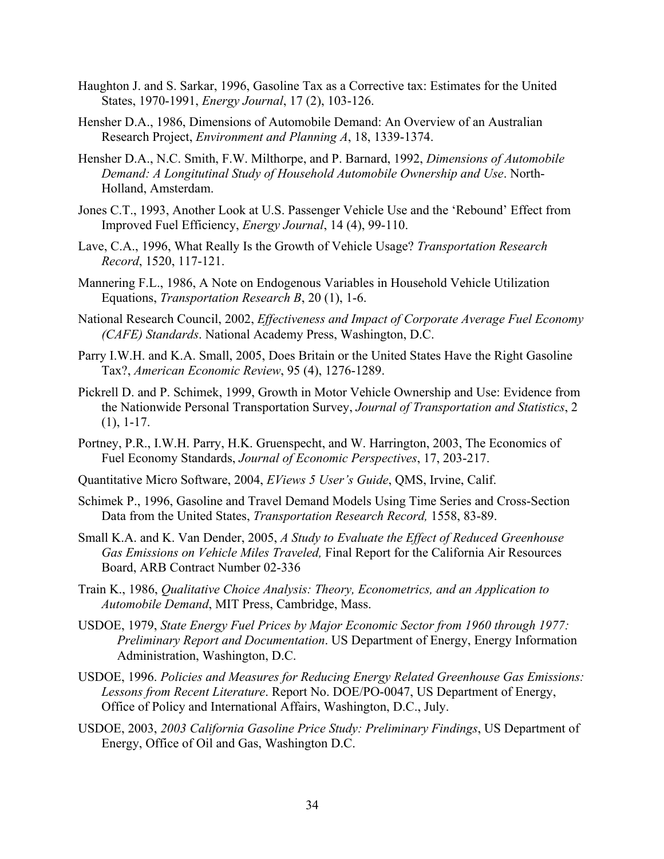- Haughton J. and S. Sarkar, 1996, Gasoline Tax as a Corrective tax: Estimates for the United States, 1970-1991, *Energy Journal*, 17 (2), 103-126.
- Hensher D.A., 1986, Dimensions of Automobile Demand: An Overview of an Australian Research Project, *Environment and Planning A*, 18, 1339-1374.
- Hensher D.A., N.C. Smith, F.W. Milthorpe, and P. Barnard, 1992, *Dimensions of Automobile Demand: A Longitutinal Study of Household Automobile Ownership and Use*. North-Holland, Amsterdam.
- Jones C.T., 1993, Another Look at U.S. Passenger Vehicle Use and the 'Rebound' Effect from Improved Fuel Efficiency, *Energy Journal*, 14 (4), 99-110.
- Lave, C.A., 1996, What Really Is the Growth of Vehicle Usage? *Transportation Research Record*, 1520, 117-121.
- Mannering F.L., 1986, A Note on Endogenous Variables in Household Vehicle Utilization Equations, *Transportation Research B*, 20 (1), 1-6.
- National Research Council, 2002, *Effectiveness and Impact of Corporate Average Fuel Economy (CAFE) Standards*. National Academy Press, Washington, D.C.
- Parry I.W.H. and K.A. Small, 2005, Does Britain or the United States Have the Right Gasoline Tax?, *American Economic Review*, 95 (4), 1276-1289.
- Pickrell D. and P. Schimek, 1999, Growth in Motor Vehicle Ownership and Use: Evidence from the Nationwide Personal Transportation Survey, *Journal of Transportation and Statistics*, 2 (1), 1-17.
- Portney, P.R., I.W.H. Parry, H.K. Gruenspecht, and W. Harrington, 2003, The Economics of Fuel Economy Standards, *Journal of Economic Perspectives*, 17, 203-217.
- Quantitative Micro Software, 2004, *EViews 5 User's Guide*, QMS, Irvine, Calif.
- Schimek P., 1996, Gasoline and Travel Demand Models Using Time Series and Cross-Section Data from the United States, *Transportation Research Record,* 1558, 83-89.
- Small K.A. and K. Van Dender, 2005, *A Study to Evaluate the Effect of Reduced Greenhouse Gas Emissions on Vehicle Miles Traveled,* Final Report for the California Air Resources Board, ARB Contract Number 02-336
- Train K., 1986, *Qualitative Choice Analysis: Theory, Econometrics, and an Application to Automobile Demand*, MIT Press, Cambridge, Mass.
- USDOE, 1979, *State Energy Fuel Prices by Major Economic Sector from 1960 through 1977: Preliminary Report and Documentation*. US Department of Energy, Energy Information Administration, Washington, D.C.
- USDOE, 1996. *Policies and Measures for Reducing Energy Related Greenhouse Gas Emissions: Lessons from Recent Literature*. Report No. DOE/PO-0047, US Department of Energy, Office of Policy and International Affairs, Washington, D.C., July.
- USDOE, 2003, *2003 California Gasoline Price Study: Preliminary Findings*, US Department of Energy, Office of Oil and Gas, Washington D.C.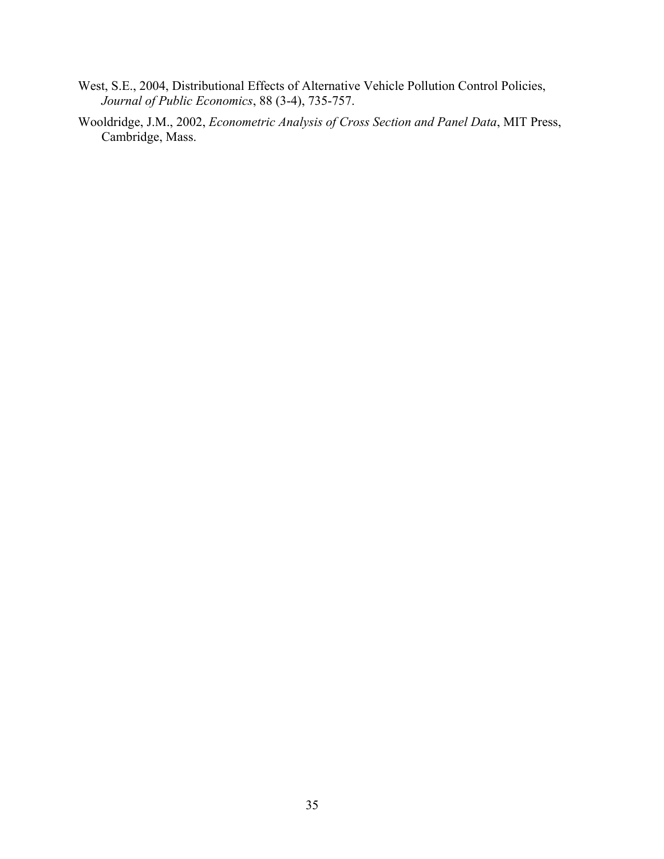- West, S.E., 2004, Distributional Effects of Alternative Vehicle Pollution Control Policies, *Journal of Public Economics*, 88 (3-4), 735-757.
- Wooldridge, J.M., 2002, *Econometric Analysis of Cross Section and Panel Data*, MIT Press, Cambridge, Mass.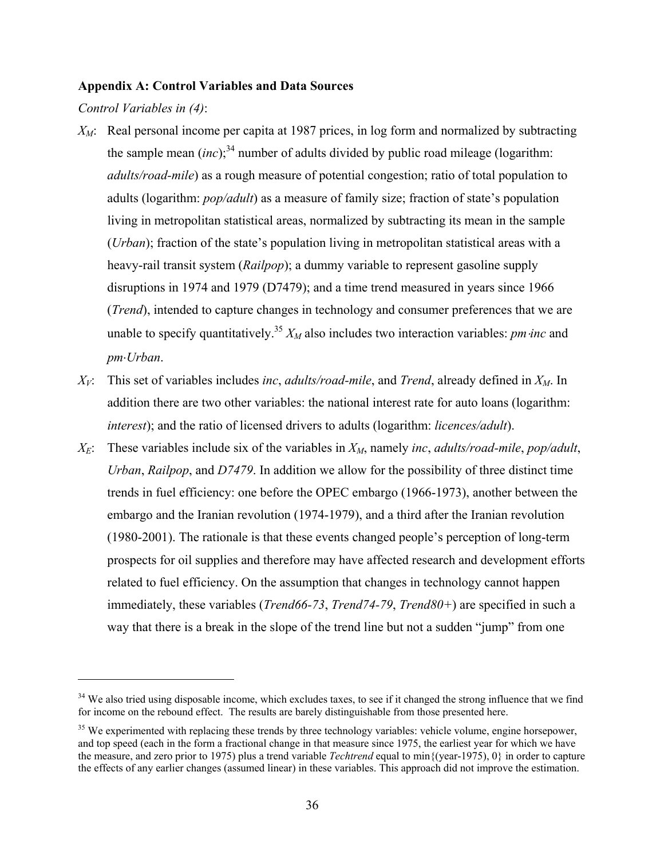#### **Appendix A: Control Variables and Data Sources**

*Control Variables in (4)*:

- *XM*: Real personal income per capita at 1987 prices, in log form and normalized by subtracting the sample mean  $(inc)$ ;<sup>34</sup> number of adults divided by public road mileage (logarithm: *adults/road-mile*) as a rough measure of potential congestion; ratio of total population to adults (logarithm: *pop/adult*) as a measure of family size; fraction of state's population living in metropolitan statistical areas, normalized by subtracting its mean in the sample (*Urban*); fraction of the state's population living in metropolitan statistical areas with a heavy-rail transit system (*Railpop*); a dummy variable to represent gasoline supply disruptions in 1974 and 1979 (D7479); and a time trend measured in years since 1966 (*Trend*), intended to capture changes in technology and consumer preferences that we are unable to specify quantitatively.<sup>35</sup>  $X_M$  also includes two interaction variables: *pm inc* and *pm*⋅*Urban*.
- *XV*: This set of variables includes *inc*, *adults/road-mile*, and *Trend*, already defined in *XM*. In addition there are two other variables: the national interest rate for auto loans (logarithm: *interest*); and the ratio of licensed drivers to adults (logarithm: *licences/adult*).
- $X_E$ : These variables include six of the variables in  $X_M$ , namely *inc*, *adults/road-mile*, *pop/adult*, *Urban*, *Railpop*, and *D7479*. In addition we allow for the possibility of three distinct time trends in fuel efficiency: one before the OPEC embargo (1966-1973), another between the embargo and the Iranian revolution (1974-1979), and a third after the Iranian revolution (1980-2001). The rationale is that these events changed people's perception of long-term prospects for oil supplies and therefore may have affected research and development efforts related to fuel efficiency. On the assumption that changes in technology cannot happen immediately, these variables (*Trend66-73*, *Trend74-79*, *Trend80+*) are specified in such a way that there is a break in the slope of the trend line but not a sudden "jump" from one

<sup>&</sup>lt;sup>34</sup> We also tried using disposable income, which excludes taxes, to see if it changed the strong influence that we find for income on the rebound effect. The results are barely distinguishable from those presented here.

<sup>&</sup>lt;sup>35</sup> We experimented with replacing these trends by three technology variables: vehicle volume, engine horsepower, and top speed (each in the form a fractional change in that measure since 1975, the earliest year for which we have the measure, and zero prior to 1975) plus a trend variable *Techtrend* equal to min{(year-1975), 0} in order to capture the effects of any earlier changes (assumed linear) in these variables. This approach did not improve the estimation.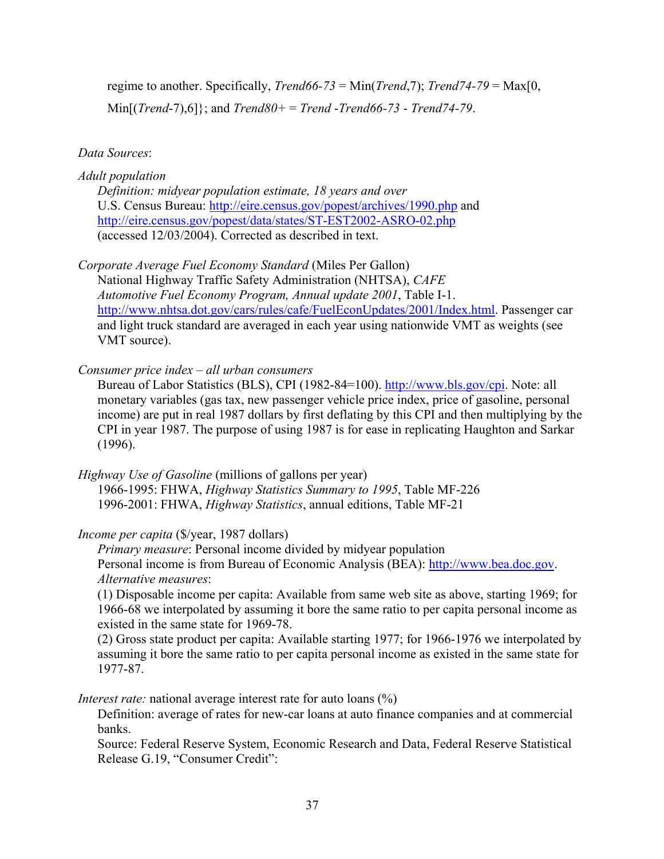regime to another. Specifically, *Trend66-73* = Min(*Trend*,7); *Trend74-79* = Max[0, Min[(*Trend*-7),6]}; and *Trend80+* = *Trend* -*Trend66-73* - *Trend74-79*.

# *Data Sources*:

# *Adult population*

*Definition: midyear population estimate, 18 years and over* U.S. Census Bureau: http://eire.census.gov/popest/archives/1990.php and http://eire.census.gov/popest/data/states/ST-EST2002-ASRO-02.php (accessed 12/03/2004). Corrected as described in text.

# *Corporate Average Fuel Economy Standard* (Miles Per Gallon)

National Highway Traffic Safety Administration (NHTSA), *CAFE Automotive Fuel Economy Program, Annual update 2001*, Table I-1. http://www.nhtsa.dot.gov/cars/rules/cafe/FuelEconUpdates/2001/Index.html. Passenger car and light truck standard are averaged in each year using nationwide VMT as weights (see VMT source).

# *Consumer price index – all urban consumers*

Bureau of Labor Statistics (BLS), CPI (1982-84=100). http://www.bls.gov/cpi. Note: all monetary variables (gas tax, new passenger vehicle price index, price of gasoline, personal income) are put in real 1987 dollars by first deflating by this CPI and then multiplying by the CPI in year 1987. The purpose of using 1987 is for ease in replicating Haughton and Sarkar (1996).

*Highway Use of Gasoline* (millions of gallons per year) 1966-1995: FHWA, *Highway Statistics Summary to 1995*, Table MF-226 1996-2001: FHWA, *Highway Statistics*, annual editions, Table MF-21

# *Income per capita* (\$/year, 1987 dollars)

*Primary measure*: Personal income divided by midyear population Personal income is from Bureau of Economic Analysis (BEA): http://www.bea.doc.gov. *Alternative measures*:

(1) Disposable income per capita: Available from same web site as above, starting 1969; for 1966-68 we interpolated by assuming it bore the same ratio to per capita personal income as existed in the same state for 1969-78.

(2) Gross state product per capita: Available starting 1977; for 1966-1976 we interpolated by assuming it bore the same ratio to per capita personal income as existed in the same state for 1977-87.

*Interest rate:* national average interest rate for auto loans  $\binom{0}{0}$ 

Definition: average of rates for new-car loans at auto finance companies and at commercial banks.

Source: Federal Reserve System, Economic Research and Data, Federal Reserve Statistical Release G.19, "Consumer Credit":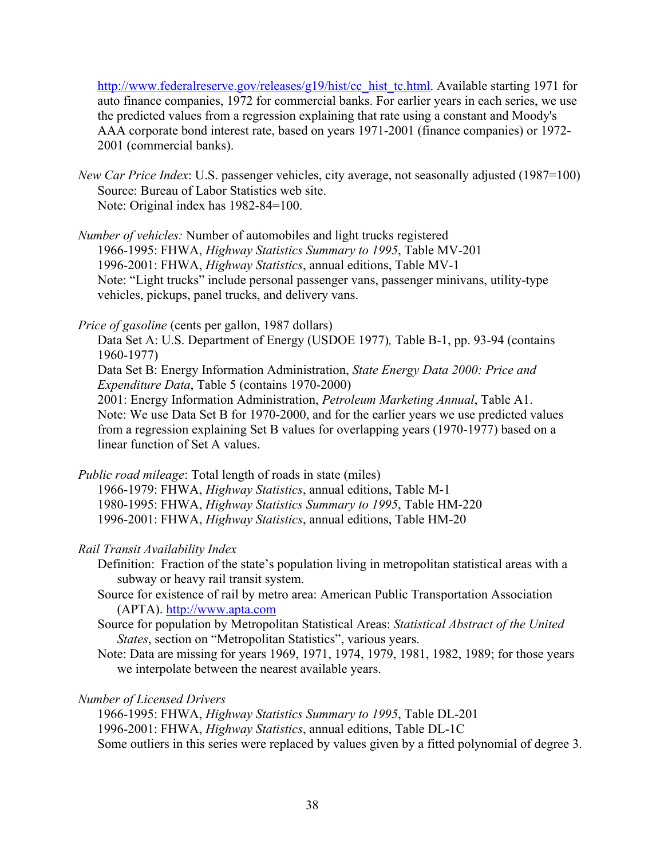http://www.federalreserve.gov/releases/g19/hist/cc\_hist\_tc.html. Available starting 1971 for auto finance companies, 1972 for commercial banks. For earlier years in each series, we use the predicted values from a regression explaining that rate using a constant and Moody's AAA corporate bond interest rate, based on years 1971-2001 (finance companies) or 1972- 2001 (commercial banks).

*New Car Price Index*: U.S. passenger vehicles, city average, not seasonally adjusted (1987=100) Source: Bureau of Labor Statistics web site. Note: Original index has 1982-84=100.

*Number of vehicles:* Number of automobiles and light trucks registered 1966-1995: FHWA, *Highway Statistics Summary to 1995*, Table MV-201 1996-2001: FHWA, *Highway Statistics*, annual editions, Table MV-1 Note: "Light trucks" include personal passenger vans, passenger minivans, utility-type vehicles, pickups, panel trucks, and delivery vans.

*Price of gasoline* (cents per gallon, 1987 dollars)

Data Set A: U.S. Department of Energy (USDOE 1977)*,* Table B-1, pp. 93-94 (contains 1960-1977)

Data Set B: Energy Information Administration, *State Energy Data 2000: Price and Expenditure Data*, Table 5 (contains 1970-2000)

2001: Energy Information Administration, *Petroleum Marketing Annual*, Table A1. Note: We use Data Set B for 1970-2000, and for the earlier years we use predicted values from a regression explaining Set B values for overlapping years (1970-1977) based on a linear function of Set A values.

*Public road mileage*: Total length of roads in state (miles)

1966-1979: FHWA, *Highway Statistics*, annual editions, Table M-1 1980-1995: FHWA, *Highway Statistics Summary to 1995*, Table HM-220 1996-2001: FHWA, *Highway Statistics*, annual editions, Table HM-20

## *Rail Transit Availability Index*

Definition: Fraction of the state's population living in metropolitan statistical areas with a subway or heavy rail transit system.

- Source for existence of rail by metro area: American Public Transportation Association (APTA). http://www.apta.com
- Source for population by Metropolitan Statistical Areas: *Statistical Abstract of the United States*, section on "Metropolitan Statistics", various years.
- Note: Data are missing for years 1969, 1971, 1974, 1979, 1981, 1982, 1989; for those years we interpolate between the nearest available years.

## *Number of Licensed Drivers*

1966-1995: FHWA, *Highway Statistics Summary to 1995*, Table DL-201 1996-2001: FHWA, *Highway Statistics*, annual editions, Table DL-1C Some outliers in this series were replaced by values given by a fitted polynomial of degree 3.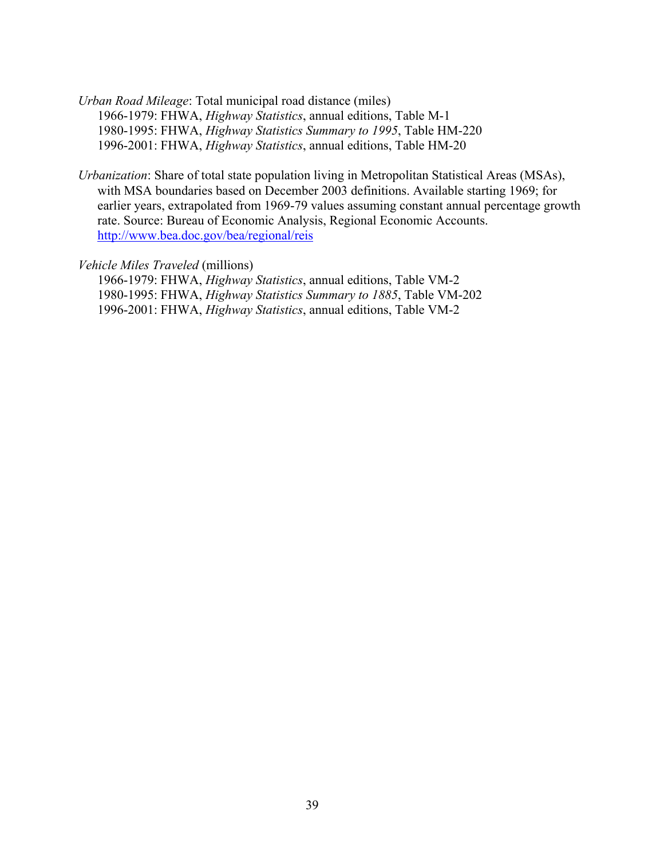*Urban Road Mileage*: Total municipal road distance (miles) 1966-1979: FHWA, *Highway Statistics*, annual editions, Table M-1 1980-1995: FHWA, *Highway Statistics Summary to 1995*, Table HM-220 1996-2001: FHWA, *Highway Statistics*, annual editions, Table HM-20

*Urbanization*: Share of total state population living in Metropolitan Statistical Areas (MSAs), with MSA boundaries based on December 2003 definitions. Available starting 1969; for earlier years, extrapolated from 1969-79 values assuming constant annual percentage growth rate. Source: Bureau of Economic Analysis, Regional Economic Accounts. http://www.bea.doc.gov/bea/regional/reis

*Vehicle Miles Traveled* (millions)

1966-1979: FHWA, *Highway Statistics*, annual editions, Table VM-2 1980-1995: FHWA, *Highway Statistics Summary to 1885*, Table VM-202 1996-2001: FHWA, *Highway Statistics*, annual editions, Table VM-2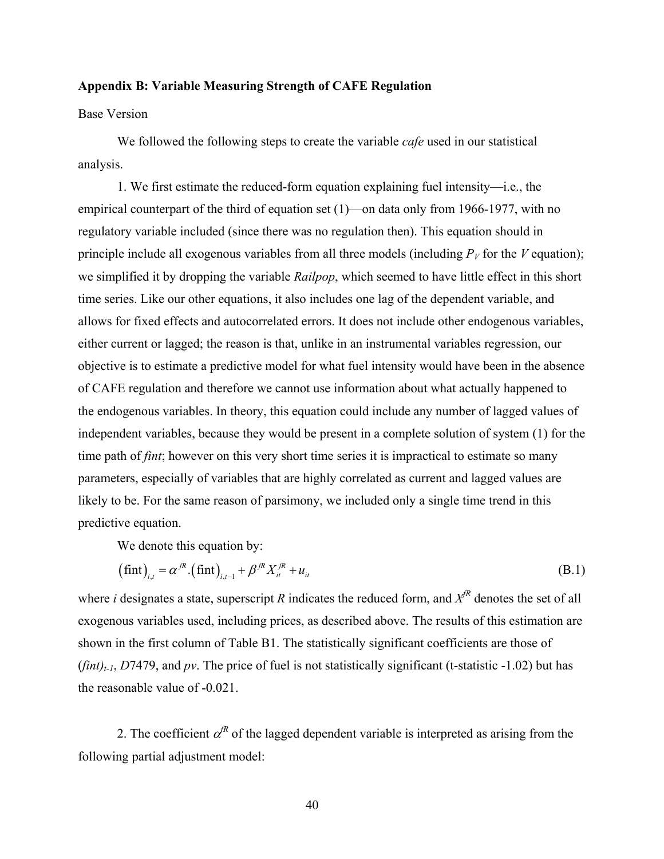#### **Appendix B: Variable Measuring Strength of CAFE Regulation**

### Base Version

 We followed the following steps to create the variable *cafe* used in our statistical analysis.

 1. We first estimate the reduced-form equation explaining fuel intensity—i.e., the empirical counterpart of the third of equation set (1)—on data only from 1966-1977, with no regulatory variable included (since there was no regulation then). This equation should in principle include all exogenous variables from all three models (including  $P_V$  for the *V* equation); we simplified it by dropping the variable *Railpop*, which seemed to have little effect in this short time series. Like our other equations, it also includes one lag of the dependent variable, and allows for fixed effects and autocorrelated errors. It does not include other endogenous variables, either current or lagged; the reason is that, unlike in an instrumental variables regression, our objective is to estimate a predictive model for what fuel intensity would have been in the absence of CAFE regulation and therefore we cannot use information about what actually happened to the endogenous variables. In theory, this equation could include any number of lagged values of independent variables, because they would be present in a complete solution of system (1) for the time path of *fint*; however on this very short time series it is impractical to estimate so many parameters, especially of variables that are highly correlated as current and lagged values are likely to be. For the same reason of parsimony, we included only a single time trend in this predictive equation.

We denote this equation by:

$$
\left(\text{fint}\right)_{i,t} = \alpha^{jR} \left(\text{fint}\right)_{i,t-1} + \beta^{jR} X_{it}^{jR} + u_{it}
$$
\n(B.1)

where *i* designates a state, superscript *R* indicates the reduced form, and  $X^{fR}$  denotes the set of all exogenous variables used, including prices, as described above. The results of this estimation are shown in the first column of Table B1. The statistically significant coefficients are those of  $(\text{fint})_{t-1}$ , *D*7479, and *pv*. The price of fuel is not statistically significant (t-statistic -1.02) but has the reasonable value of -0.021.

2. The coefficient  $\alpha^{R}$  of the lagged dependent variable is interpreted as arising from the following partial adjustment model: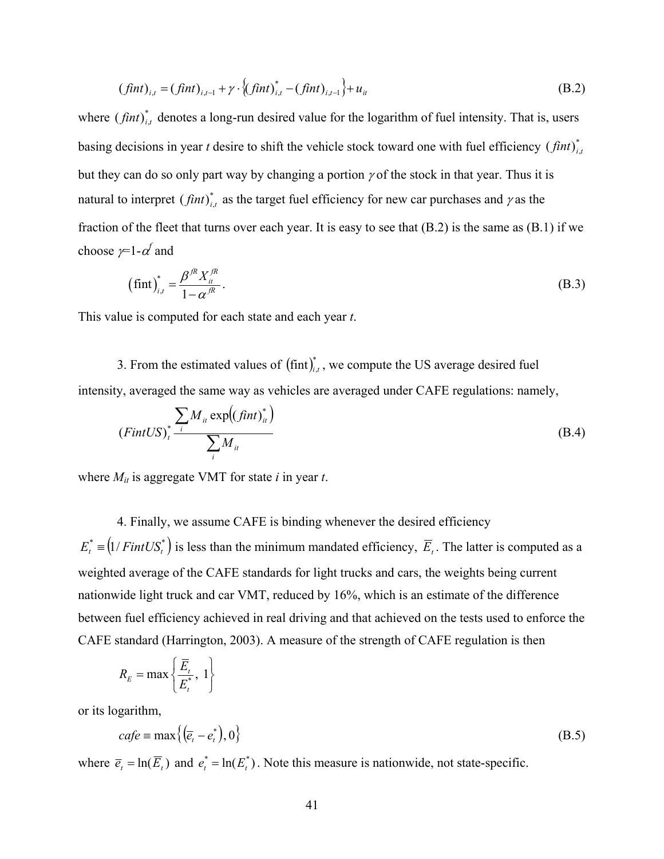$$
(fint)_{i,t} = (fint)_{i,t-1} + \gamma \cdot \{(fint)_{i,t}^* - (fint)_{i,t-1}\} + u_{it}
$$
\n(B.2)

where  $(fint)_{i,t}^*$  denotes a long-run desired value for the logarithm of fuel intensity. That is, users basing decisions in year *t* desire to shift the vehicle stock toward one with fuel efficiency  $(fint)_{i,t}^*$ but they can do so only part way by changing a portion  $\gamma$  of the stock in that year. Thus it is natural to interpret  $(fint)_{i,t}^*$  as the target fuel efficiency for new car purchases and  $\gamma$  as the fraction of the fleet that turns over each year. It is easy to see that (B.2) is the same as (B.1) if we choose  $\not=$  1- $\alpha'$  and

$$
\left(\operatorname{fint}\right)_{i,t}^{*} = \frac{\beta^{\mathcal{R}} X_{i}^{\mathcal{R}}}{1 - \alpha^{\mathcal{R}}}.
$$
\n(B.3)

This value is computed for each state and each year *t*.

3. From the estimated values of  $(fint)_{i,t}^*$ , we compute the US average desired fuel intensity, averaged the same way as vehicles are averaged under CAFE regulations: namely,

$$
(FintUS)^{*}_{t} \frac{\sum_{i} M_{it} \exp((fint)^{*}_{it})}{\sum_{i} M_{it}}
$$
(B.4)

where *Mit* is aggregate VMT for state *i* in year *t*.

 4. Finally, we assume CAFE is binding whenever the desired efficiency  $E_{i}^{*} = (1/FintUS_{i}^{*})$  is less than the minimum mandated efficiency,  $\overline{E}_{i}$ . The latter is computed as a weighted average of the CAFE standards for light trucks and cars, the weights being current nationwide light truck and car VMT, reduced by 16%, which is an estimate of the difference between fuel efficiency achieved in real driving and that achieved on the tests used to enforce the CAFE standard (Harrington, 2003). A measure of the strength of CAFE regulation is then

$$
R_E = \max\left\{\frac{\overline{E}_t}{E_t^*}, 1\right\}
$$

or its logarithm,

$$
cape \equiv \max\{(\overline{e}_t - e_t^*), 0\}
$$
 (B.5)

where  $\overline{e}_t = \ln(\overline{E}_t)$  and  $e_t^* = \ln(E_t^*)$ . Note this measure is nationwide, not state-specific.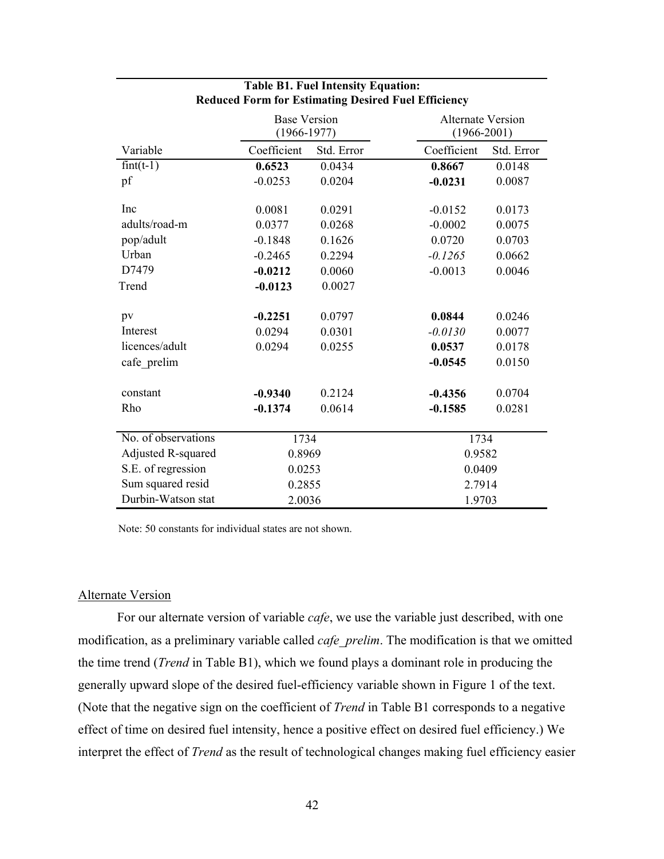|                        | <b>Base Version</b><br>$(1966 - 1977)$ |            | <b>Alternate Version</b><br>$(1966 - 2001)$ |            |
|------------------------|----------------------------------------|------------|---------------------------------------------|------------|
| Variable               | Coefficient                            | Std. Error | Coefficient                                 | Std. Error |
| $fint(\overline{t-1})$ | 0.6523                                 | 0.0434     | 0.8667                                      | 0.0148     |
| pf                     | $-0.0253$                              | 0.0204     | $-0.0231$                                   | 0.0087     |
| Inc                    | 0.0081                                 | 0.0291     | $-0.0152$                                   | 0.0173     |
| adults/road-m          | 0.0377                                 | 0.0268     | $-0.0002$                                   | 0.0075     |
| pop/adult              | $-0.1848$                              | 0.1626     | 0.0720                                      |            |
| Urban                  |                                        |            |                                             | 0.0703     |
|                        | $-0.2465$                              | 0.2294     | $-0.1265$                                   | 0.0662     |
| D7479                  | $-0.0212$                              | 0.0060     | $-0.0013$                                   | 0.0046     |
| Trend                  | $-0.0123$                              | 0.0027     |                                             |            |
|                        |                                        | 0.0797     | 0.0844                                      |            |
| pv                     | $-0.2251$                              |            |                                             | 0.0246     |
| Interest               | 0.0294                                 | 0.0301     | $-0.0130$                                   | 0.0077     |
| licences/adult         | 0.0294                                 | 0.0255     | 0.0537                                      | 0.0178     |
| cafe prelim            |                                        |            | $-0.0545$                                   | 0.0150     |
| constant               | $-0.9340$                              | 0.2124     | $-0.4356$                                   | 0.0704     |
|                        |                                        |            |                                             |            |
| Rho                    | $-0.1374$                              | 0.0614     | $-0.1585$                                   | 0.0281     |
| No. of observations    | 1734                                   |            | 1734                                        |            |
| Adjusted R-squared     | 0.8969                                 |            | 0.9582                                      |            |
| S.E. of regression     | 0.0253                                 |            | 0.0409                                      |            |
| Sum squared resid      | 0.2855                                 |            | 2.7914                                      |            |
| Durbin-Watson stat     | 2.0036<br>1.9703                       |            |                                             |            |

### **Table B1. Fuel Intensity Equation: Reduced Form for Estimating Desired Fuel Efficiency**

Note: 50 constants for individual states are not shown.

#### Alternate Version

 For our alternate version of variable *cafe*, we use the variable just described, with one modification, as a preliminary variable called *cafe\_prelim*. The modification is that we omitted the time trend (*Trend* in Table B1), which we found plays a dominant role in producing the generally upward slope of the desired fuel-efficiency variable shown in Figure 1 of the text. (Note that the negative sign on the coefficient of *Trend* in Table B1 corresponds to a negative effect of time on desired fuel intensity, hence a positive effect on desired fuel efficiency.) We interpret the effect of *Trend* as the result of technological changes making fuel efficiency easier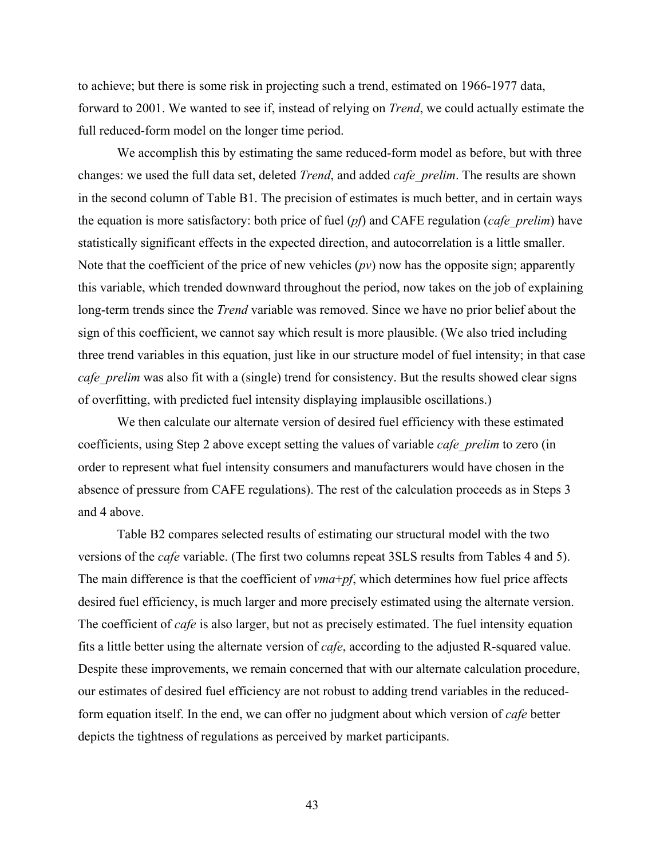to achieve; but there is some risk in projecting such a trend, estimated on 1966-1977 data, forward to 2001. We wanted to see if, instead of relying on *Trend*, we could actually estimate the full reduced-form model on the longer time period.

 We accomplish this by estimating the same reduced-form model as before, but with three changes: we used the full data set, deleted *Trend*, and added *cafe\_prelim*. The results are shown in the second column of Table B1. The precision of estimates is much better, and in certain ways the equation is more satisfactory: both price of fuel (*pf*) and CAFE regulation (*cafe\_prelim*) have statistically significant effects in the expected direction, and autocorrelation is a little smaller. Note that the coefficient of the price of new vehicles (*pv*) now has the opposite sign; apparently this variable, which trended downward throughout the period, now takes on the job of explaining long-term trends since the *Trend* variable was removed. Since we have no prior belief about the sign of this coefficient, we cannot say which result is more plausible. (We also tried including three trend variables in this equation, just like in our structure model of fuel intensity; in that case *cafe\_prelim* was also fit with a (single) trend for consistency. But the results showed clear signs of overfitting, with predicted fuel intensity displaying implausible oscillations.)

 We then calculate our alternate version of desired fuel efficiency with these estimated coefficients, using Step 2 above except setting the values of variable *cafe\_prelim* to zero (in order to represent what fuel intensity consumers and manufacturers would have chosen in the absence of pressure from CAFE regulations). The rest of the calculation proceeds as in Steps 3 and 4 above.

 Table B2 compares selected results of estimating our structural model with the two versions of the *cafe* variable. (The first two columns repeat 3SLS results from Tables 4 and 5). The main difference is that the coefficient of *vma*+*pf*, which determines how fuel price affects desired fuel efficiency, is much larger and more precisely estimated using the alternate version. The coefficient of *cafe* is also larger, but not as precisely estimated. The fuel intensity equation fits a little better using the alternate version of *cafe*, according to the adjusted R-squared value. Despite these improvements, we remain concerned that with our alternate calculation procedure, our estimates of desired fuel efficiency are not robust to adding trend variables in the reducedform equation itself. In the end, we can offer no judgment about which version of *cafe* better depicts the tightness of regulations as perceived by market participants.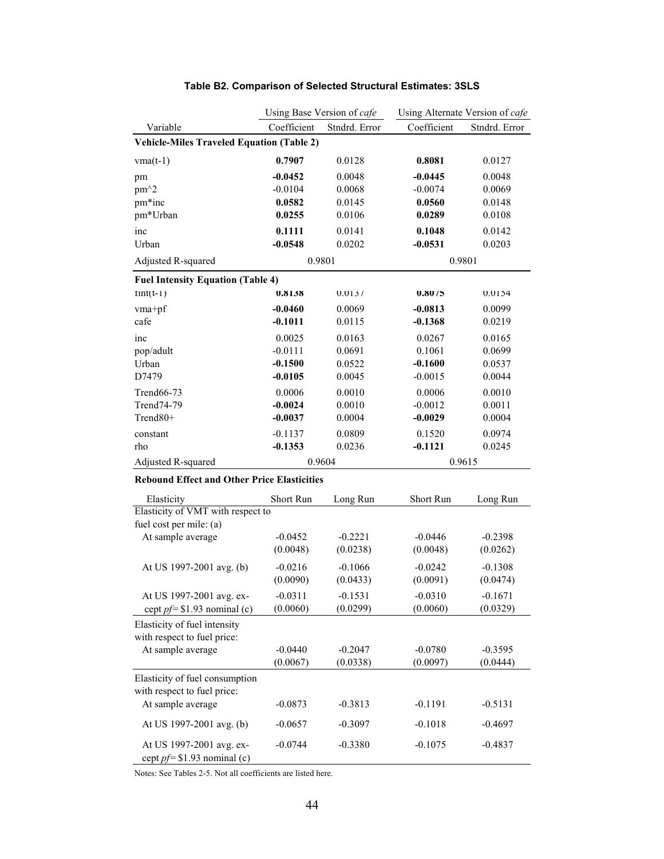|                                                    | Using Base Version of cafe |               | Using Alternate Version of cafe |               |
|----------------------------------------------------|----------------------------|---------------|---------------------------------|---------------|
| Variable                                           | Coefficient                | Stndrd. Error | Coefficient                     | Stndrd. Error |
| <b>Vehicle-Miles Traveled Equation (Table 2)</b>   |                            |               |                                 |               |
| $vma(t-1)$                                         | 0.7907                     | 0.0128        | 0.8081                          | 0.0127        |
| pm                                                 | $-0.0452$                  | 0.0048        | $-0.0445$                       | 0.0048        |
| pm <sup>^2</sup>                                   | $-0.0104$                  | 0.0068        | $-0.0074$                       | 0.0069        |
| pm*inc                                             | 0.0582                     | 0.0145        | 0.0560                          | 0.0148        |
| pm*Urban                                           | 0.0255                     | 0.0106        | 0.0289                          | 0.0108        |
| inc                                                | 0.1111                     | 0.0141        | 0.1048                          | 0.0142        |
| Urban                                              | $-0.0548$                  | 0.0202        | $-0.0531$                       | 0.0203        |
| Adjusted R-squared                                 |                            | 0.9801        | 0.9801                          |               |
| <b>Fuel Intensity Equation (Table 4)</b>           |                            |               |                                 |               |
| $tint(t-1)$                                        | 0.8158                     | 0.0137        | 0.8075                          | 0.0154        |
| vma+pf                                             | $-0.0460$                  | 0.0069        | $-0.0813$                       | 0.0099        |
| cafe                                               | $-0.1011$                  | 0.0115        | $-0.1368$                       | 0.0219        |
| inc                                                | 0.0025                     | 0.0163        | 0.0267                          | 0.0165        |
| pop/adult                                          | $-0.0111$                  | 0.0691        | 0.1061                          | 0.0699        |
| Urban                                              | $-0.1500$                  | 0.0522        | $-0.1600$                       | 0.0537        |
| D7479                                              | $-0.0105$                  | 0.0045        | $-0.0015$                       | 0.0044        |
| Trend66-73                                         | 0.0006                     | 0.0010        | 0.0006                          | 0.0010        |
| Trend74-79                                         | $-0.0024$                  | 0.0010        | $-0.0012$                       | 0.0011        |
| Trend80+                                           | $-0.0037$                  | 0.0004        | $-0.0029$                       | 0.0004        |
| constant                                           | $-0.1137$                  | 0.0809        | 0.1520                          | 0.0974        |
| rho                                                | $-0.1353$                  | 0.0236        | $-0.1121$                       | 0.0245        |
| Adjusted R-squared                                 |                            | 0.9604        | 0.9615                          |               |
| <b>Rebound Effect and Other Price Elasticities</b> |                            |               |                                 |               |
| Elasticity                                         | Short Run                  | Long Run      | Short Run                       | Long Run      |
| Elasticity of VMT with respect to                  |                            |               |                                 |               |
| fuel cost per mile: (a)                            |                            |               |                                 |               |
| At sample average                                  | $-0.0452$                  | $-0.2221$     | $-0.0446$                       | $-0.2398$     |
|                                                    | (0.0048)                   | (0.0238)      | (0.0048)                        | (0.0262)      |
| At US 1997-2001 avg. (b)                           | $-0.0216$                  | $-0.1066$     | $-0.0242$                       | $-0.1308$     |
|                                                    | (0.0090)                   | (0.0433)      | (0.0091)                        | (0.0474)      |
| At US 1997-2001 avg. ex-                           | $-0.0311$                  | $-0.1531$     | $-0.0310$                       | $-0.1671$     |
| cept $pf = $1.93$ nominal (c)                      | (0.0060)                   | (0.0299)      | (0.0060)                        | (0.0329)      |
| Elasticity of fuel intensity                       |                            |               |                                 |               |
| with respect to fuel price:                        |                            |               |                                 |               |
| At sample average                                  | $-0.0440$                  | $-0.2047$     | $-0.0780$                       | $-0.3595$     |
|                                                    | (0.0067)                   | (0.0338)      | (0.0097)                        | (0.0444)      |
| Elasticity of fuel consumption                     |                            |               |                                 |               |
| with respect to fuel price:                        |                            |               |                                 |               |
| At sample average                                  | $-0.0873$                  | $-0.3813$     | $-0.1191$                       | $-0.5131$     |
| At US 1997-2001 avg. (b)                           | $-0.0657$                  | $-0.3097$     | $-0.1018$                       | $-0.4697$     |
| At US 1997-2001 avg. ex-                           | $-0.0744$                  | $-0.3380$     | $-0.1075$                       | $-0.4837$     |
| cept $pf = $1.93$ nominal (c)                      |                            |               |                                 |               |

# **Table B2. Comparison of Selected Structural Estimates: 3SLS**

Notes: See Tables 2-5. Not all coefficients are listed here.